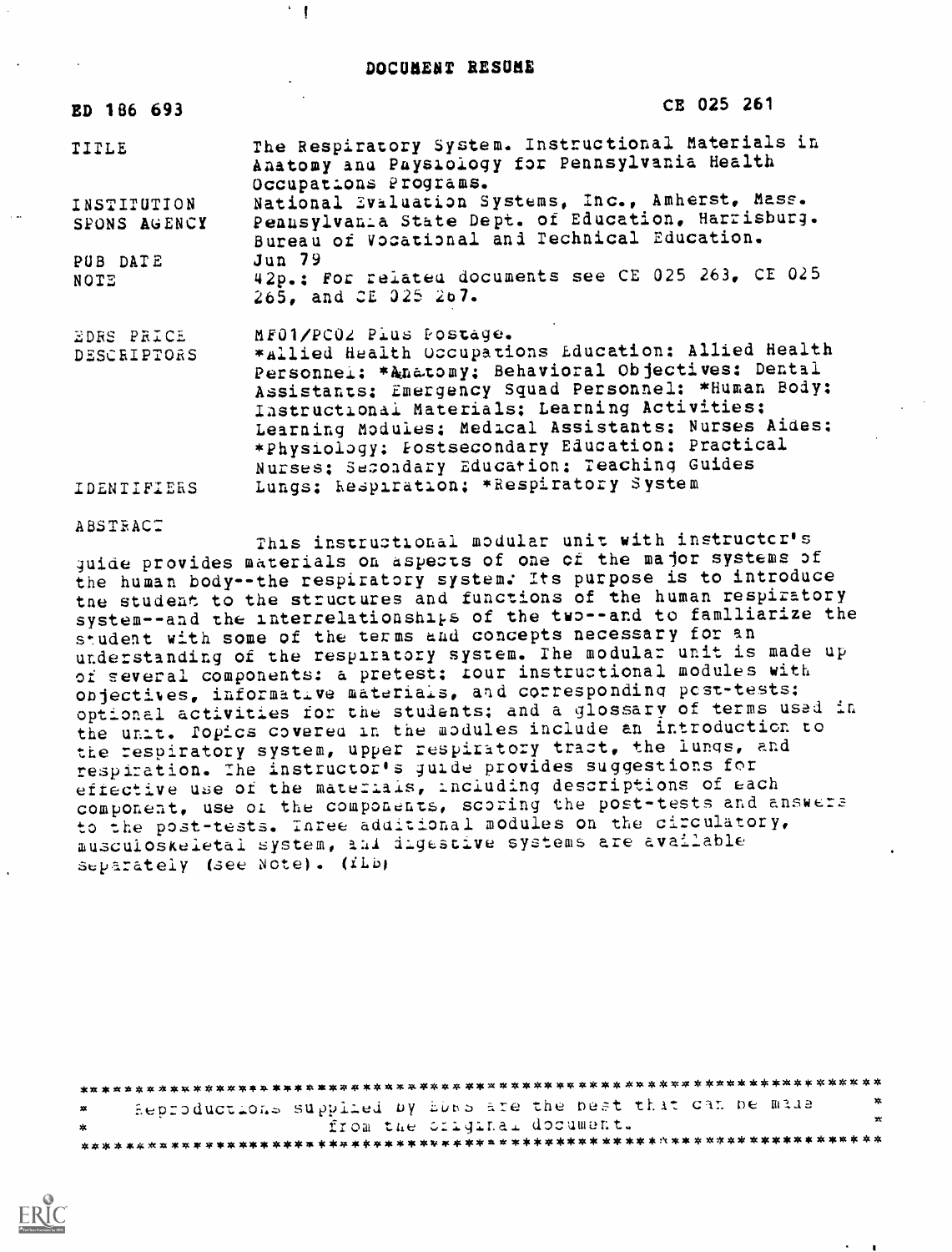$\mathcal{F}$ 

| ED 186 693                  | CE 025 261                                                                                                                                                                                                                                                                                                                                                                                             |
|-----------------------------|--------------------------------------------------------------------------------------------------------------------------------------------------------------------------------------------------------------------------------------------------------------------------------------------------------------------------------------------------------------------------------------------------------|
| TITLE                       | The Respiratory System. Instructional Materials in<br>Anatomy and Paysiology for Pennsylvania Health<br>Occupations Programs.                                                                                                                                                                                                                                                                          |
| INSTITUTION<br>SPONS AGENCY | National Evaluation Systems, Inc., Amherst, Mass.<br>Pennsylvania State Dept. of Education, Harrisburg.<br>Bureau of Vocational and Technical Education.                                                                                                                                                                                                                                               |
| PUB DATE<br>NOTE            | <b>Jun 79</b><br>42p.: For related documents see CE 025 263, CE 025<br>265, and CE 025 267.                                                                                                                                                                                                                                                                                                            |
| EDRS PRICE<br>DESCRIPTORS   | MF01/PC02 Pius Postage.<br>*allied Health Occupations Education: Allied Health<br>Personnel: *Anatomy; Behavioral Objectives: Dental<br>Assistants: Emergency Squad Personnel: *Human Body:<br>Instructional Materials; Learning Activities;<br>Learning Modules; Medical Assistants; Nurses Aides;<br>*Physiology: Fostsecondary Education: Practical<br>Nurses: Secondary Education: Teaching Guides |
| <b>IDENTIFIERS</b>          | Lungs; hespiration; *Respiratory System                                                                                                                                                                                                                                                                                                                                                                |

ABSTRAC:

This instructional modular unit with instructcr's guide provides materials on aspects of one of the major systems of the human body--the respiratory system: Its purpose is to introduce the student to the structures and functions of the human respiratory system--and the interrelationships of the two--and to familiarize the s\*.udent with some of the terms and concepts necessary for an understanding of the respiratory system. The modular unit is made up of several components: a pretest; four instructional modules with onjectives, informative materials, and corresponding post-tests: optional activities for the students; and a glossary of terms used in the unit. Popics covered in the modules include an introduction to the respiratory system, upper respiratory tract, the lungs, and respiration. The instructor's guide provides suggestions for effective use of the materials, including descriptions of each component, use of the components, scoring the post-tests and answers to the post-tests. Inree additional modules on the circulatory, muscuioskeletal system, and digestive systems are available separately (see Note). (ilb)

| $\mathbf{X}$ | - Reproductions supplied by EDNS are the best that can be made | ×       |  |  |  |
|--------------|----------------------------------------------------------------|---------|--|--|--|
| *            | from the criginal document.                                    | $\star$ |  |  |  |
|              |                                                                |         |  |  |  |

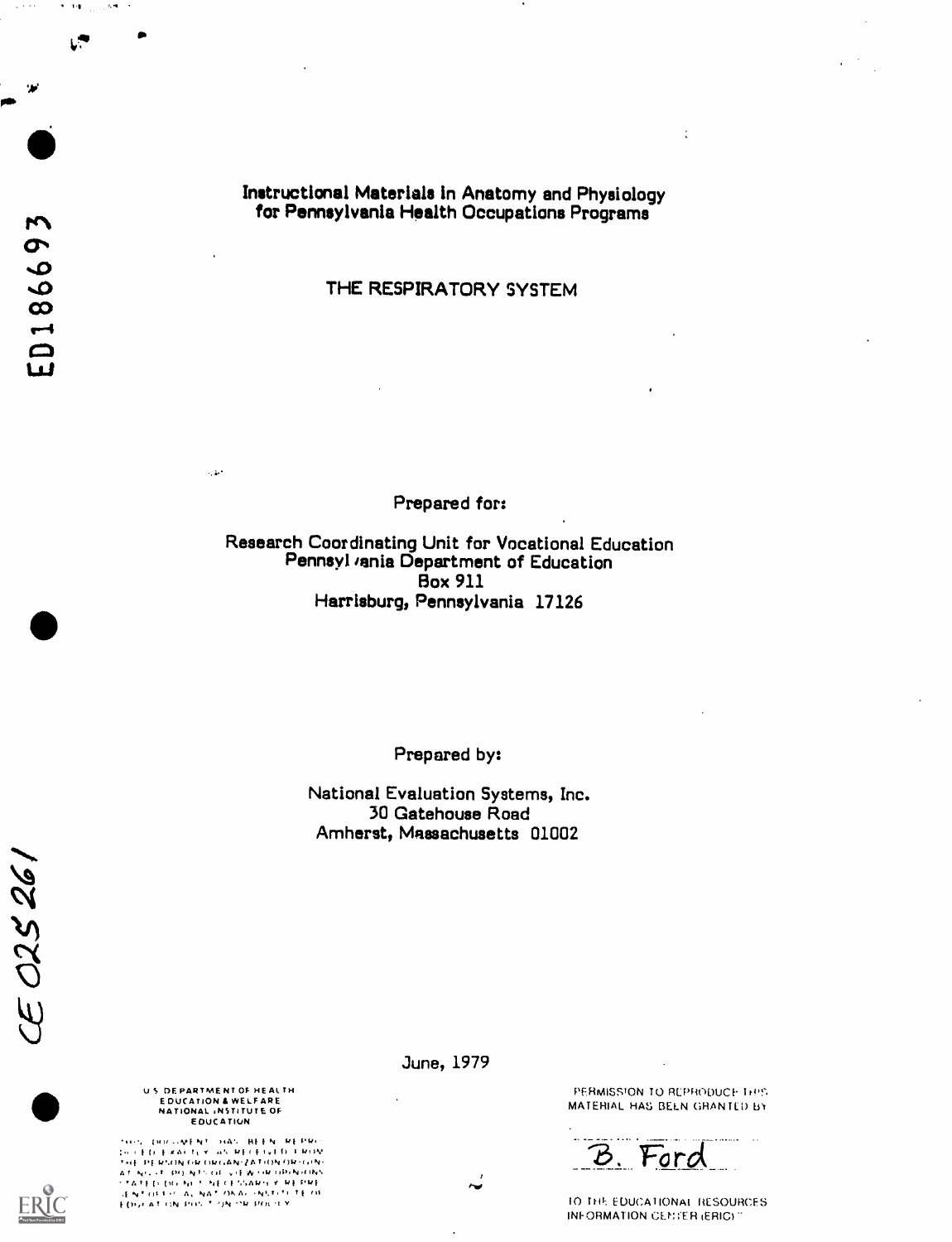101 - 101 - 101 - 101 - 101 - 101 - 101 - 101 - 101 - 101 - 101 - 101 - 101 - 101 - 101 - 101 - 101 - 101 - 10<br>101 - 102 - 102 - 102 - 102 - 102 - 102 - 102 - 102 - 102 - 102 - 102 - 102 - 102 - 102 - 102 - 102 - 102 - 10

-11

 $\Psi=1.0$ 

 $\mathbf{L}^{\bullet}$ 

 $\sim 0.1$ 

Instructional Materials In Anatomy and Physiology for Pennsylvania Health Occupations Programs

THE RESPIRATORY SYSTEM

Prepared for:

Research Coordinating Unit for Vocational Education Pennsyl *v*ania Department of Education Box 911 Harrisburg, Pennsylvania 17126

Prepared by:

National Evaluation Systems, Inc. 30 Gatehouse Road Amherst, Massachusetts 01002





ERIC

U.S. DEPARTMENT OF HEALTH EDUCATION & WELFARE<br>NATIONAL ;NSTITUTE OF E DUCATION

 $\sim 30^4$ 

'.. MF N' "4% Hi I N f, I MAI ?, <sup>I</sup> I) WLV I PI 14..(IN l,k fliii.ANJAYMNOWi..N <sup>A</sup> N,..t i) N (,f y.l 1,P,Avr)1.% <sup>A</sup> I I. Ill, .0 <sup>I</sup> Y kl UENT (USS OF ALL NAT TOKAL ON STORES TE THE ...)<br>EDISK AT (ON PH) STONE ON PHERICIE Y

June, 1979

PERMISSION TO REPRODUCE 1:05. MATERIAL HAS BEEN GRANTED BY

 $\ddot{\cdot}$ 

'6. Fora

10 THI-. EDUCATIONAI RESOURCES INFORMATION CENTER (ERIC) "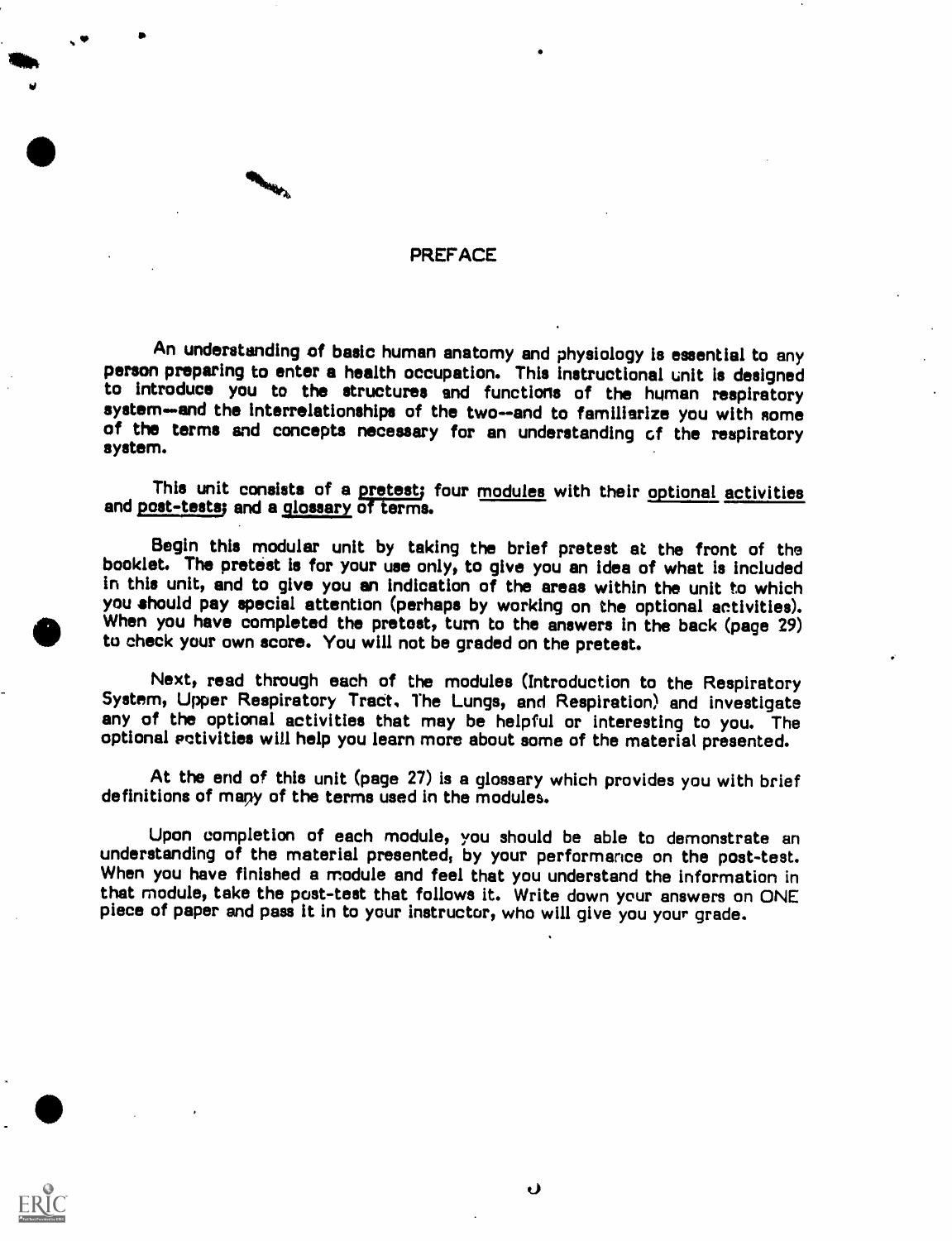### **PREFACE**

**4, 1990 - 1990 - 1990 - 1990 - 1990 - 1990 - 1990 - 1990 - 1990 - 1990 - 1990 - 1990 - 1990 - 1990 - 1990 - 1** 

An understanding of basic human anatomy and physiology is essential to any person preparing to enter a health occupation. This instructional unit is designed to introduce you to the structures and functions of the human re system-and the interrelationships of the two--and to familiarize you with some of the terms and concepts necessary for an understanding of the respiratory system.

This unit consists of a pretest; four modules with their optional activities and post-tests; and a glossary of terms.

Begin this modular unit by taking the brief pretest at the front of the booklet. The pretest is for your use only, to give you an idea of what is included in this unit, and to give you an indication of the areas within the unit to which you should pay special attention (perhaps by working on the optional activities). When you have completed the pretest, turn to the answers in the back (page 29). to check your own score. You will not be graded on the pretest.

Next, read through each of the modules (Introduction to the Respiratory<br>System, Upper Respiratory Tract, The Lungs, and Respiration) and investigate<br>any of the optional activities that may be helpful or interesting to you. optional pctivities will help you learn more about some of the material presented.

At the end of this unit (page 27) is a glossary which provides you with brief definitions of mary of the terms used in the modules.

Upon completion of each module, you should be able to demonstrate an understanding of the material presented, by your performance on the post-test. When you have finished a module and feel that you understand the information in that module, take the post-test that follows it. Write down your answers on ONE piece of paper and pass it in to your instructor, who will give you your grade.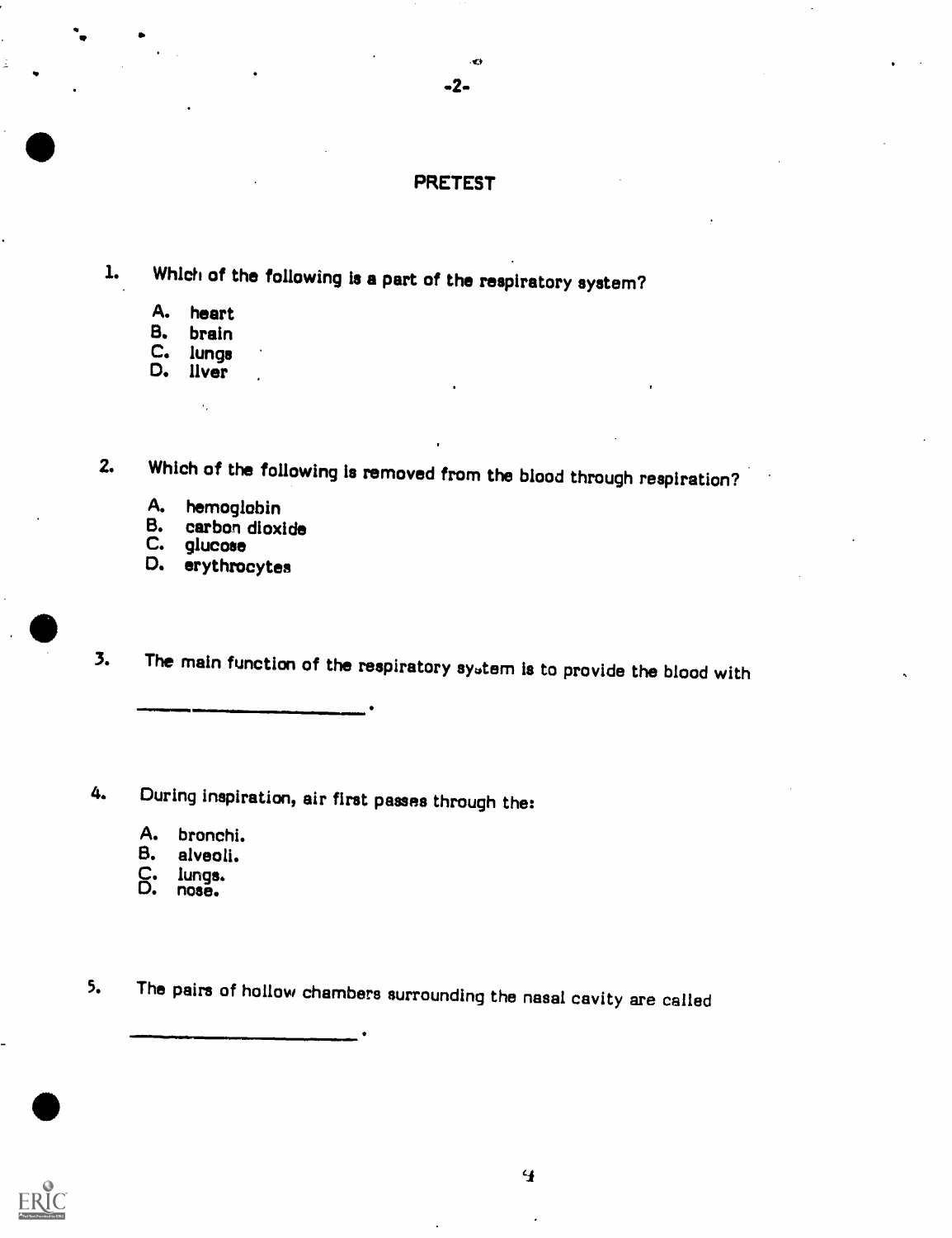### PRETEST

-2-

 $C_{\mathcal{F}}$  and  $C_{\mathcal{F}}$ 

- 1. Which of the following is a part of the respiratory system?
	- A. heart<br>B. brain
	- brain
	- C. lunge D. liver

 $\ddot{\phantom{a}}$ 

2. Which of the following Is removed from the blood through respiration?

- A. hemoglobin<br>B. carbon dioxi
- B. carbon dioxide<br>C. qlucose
- glucose
- D. erythrocytes
- 3. The main function of the respiratory sytem is to provide the blood with

4. During inspiration, air first passes through the:

- A. bronchi.
- alveoli.
- C. lungs. D. nose.
- 

5. The pairs of hollow chambers surrounding the nasal cavity are called

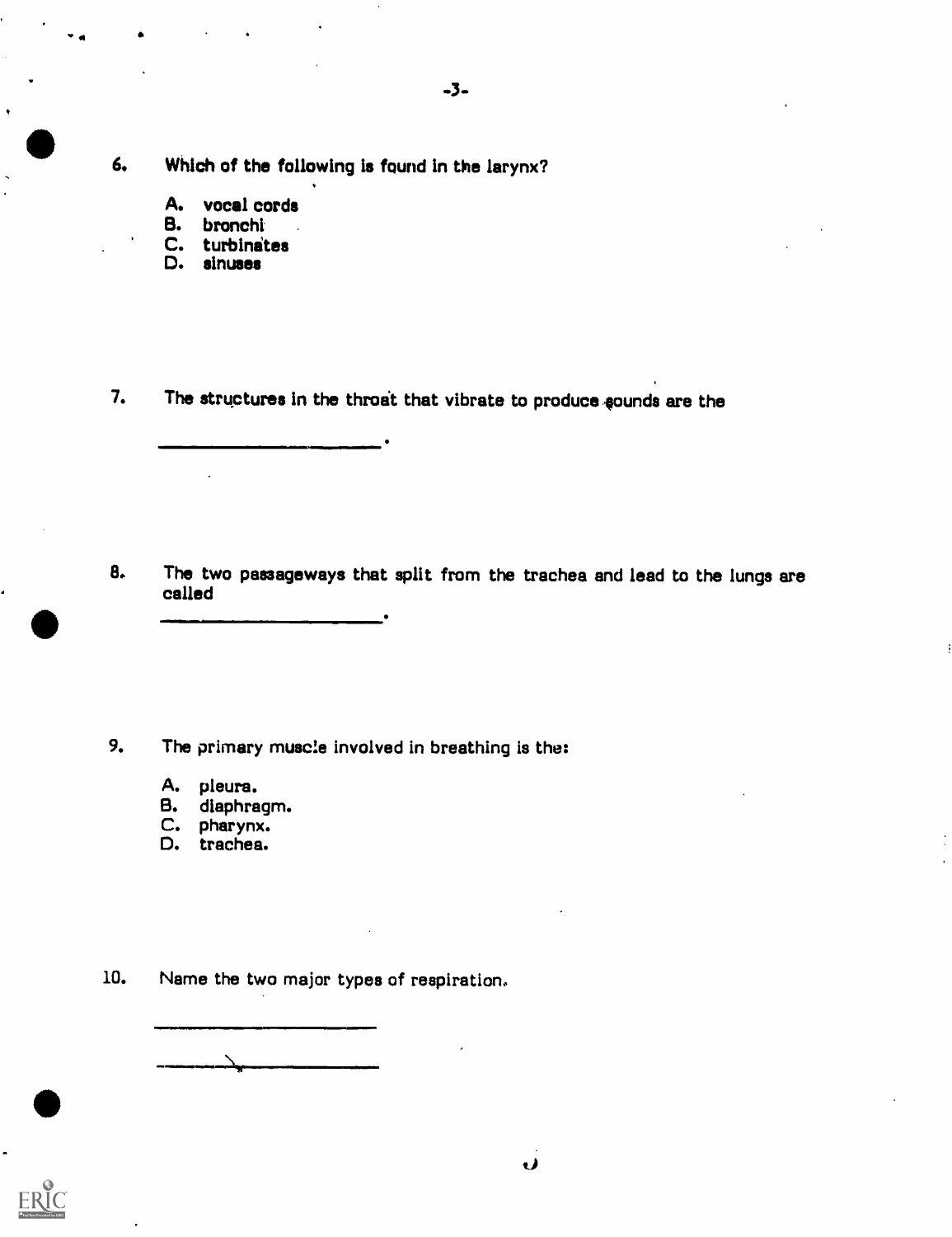6. Which of the following is found in the larynx?

- A. vocal cords<br>B. bronchi
- bronchi
- C. turbinates
- ID. sinuses

7. The structures in the throat that vibrate to produce sounds are the

8. The two passageways that split from the trachea and lead to the lungs are called

9. The primary muscle involved in breathing is the:

- A. pleura.
- B. diaphragm.
- C. pharynx.
- D. trachea.

10. Name the two major types of respiration..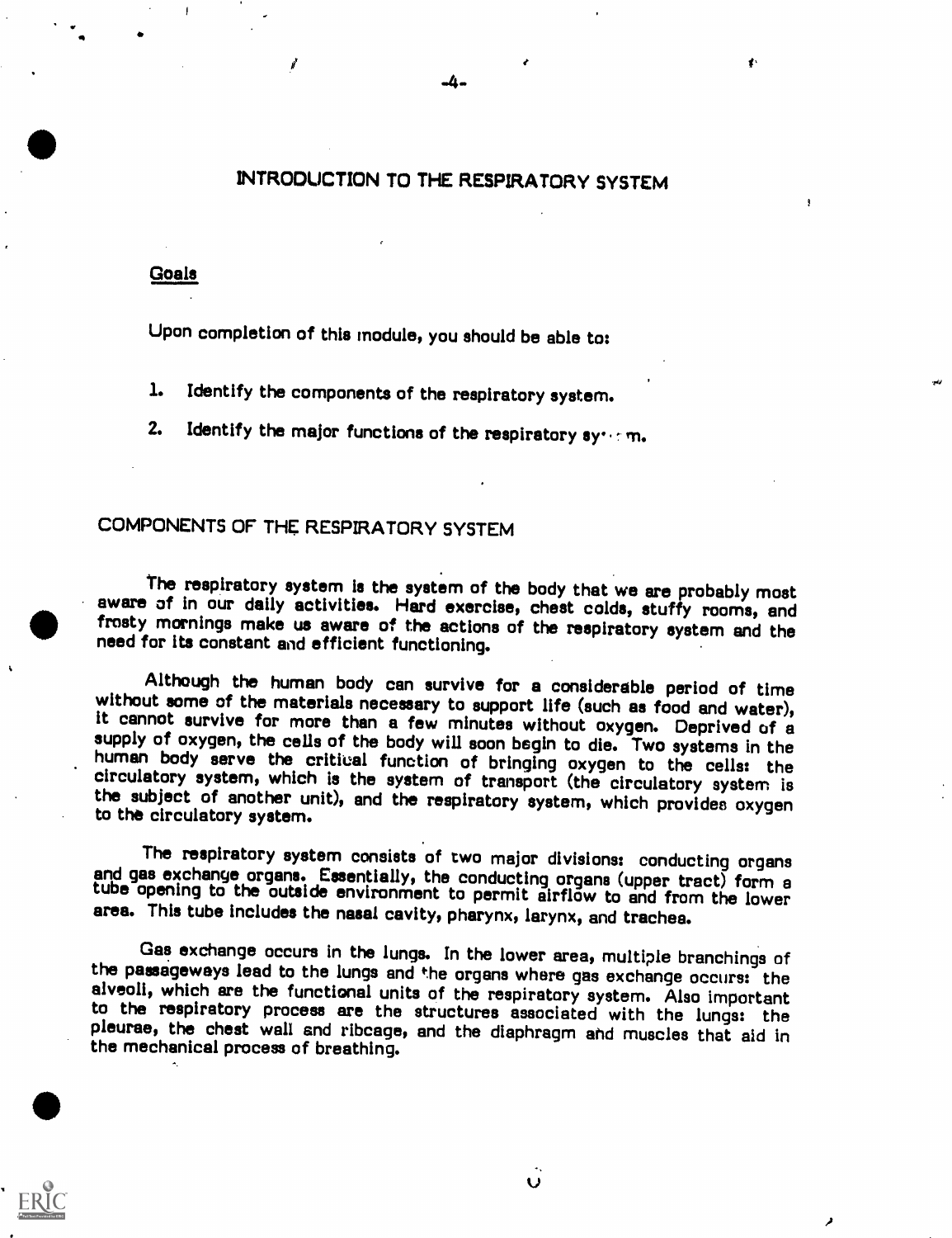### INTRODUCTION TO THE RESPIRATORY SYSTEM

#### Goals

Upon completion of this module, you should be able to:

1. Identify the components of the respiratory system.

2. Identify the major functions of the respiratory synthm.

### COMPONENTS OF THE RESPIRATORY SYSTEM

The respiratory system is the system of the body that we are probably most aware of in our daily activities. Hard exercise, chest colds, stuffy rooms, and frosty mornings make us aware of the actions of the respiratory sys

Although the human body can survive for a considerable period of time<br>without some of the materials necessary to support life (such as food and water),<br>it cannot survive for more than a few minutes without oxygen. Deprived

The respiratory system consists of two major divisions: conducting organs and gas exchange organs. Essentially, the conducting organs (upper tract) form <sup>a</sup> tube opening to the outside environment to permit airflow to and from the lower area. This tube includes the nasal cavity, pharynx, larynx, and trachea.

Gas exchange occurs in the lungs. In the lower area, multiple branchings of the passageways lead to the lungs and the organs where gas exchange occurs: the alveoli, which are the functional units of the respiratory system. Also important to the respiratory process are the structures associated with the lungs: the pleurae, the chest wall and ribcage, and the diaphragm and musc

 $\overline{U}$ 



Δ.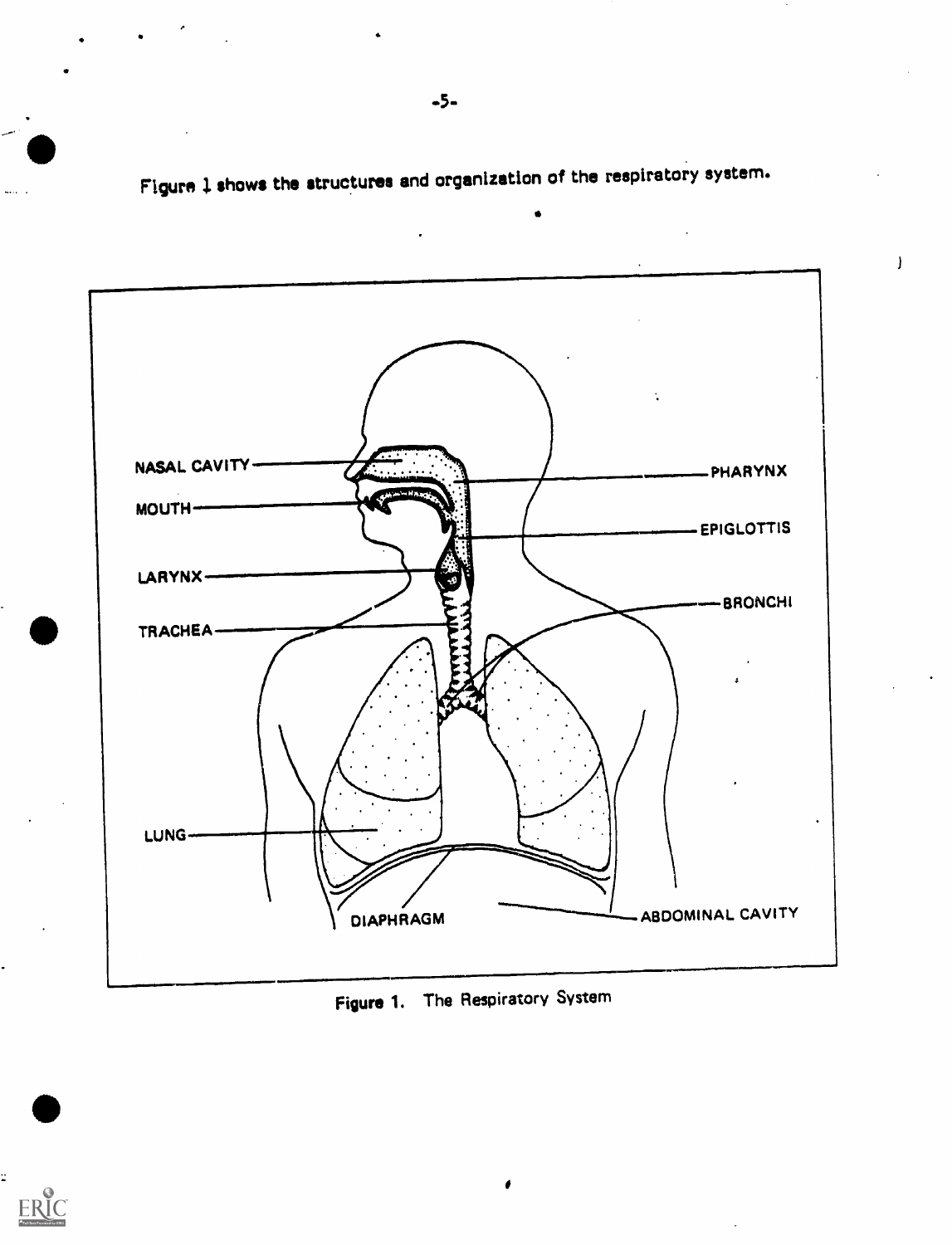Figure 1 shows the structures and organization of the respiratory system.

 $\mathbf{I}$ 



Figure 1. The Respiratory System

ż

ERIC

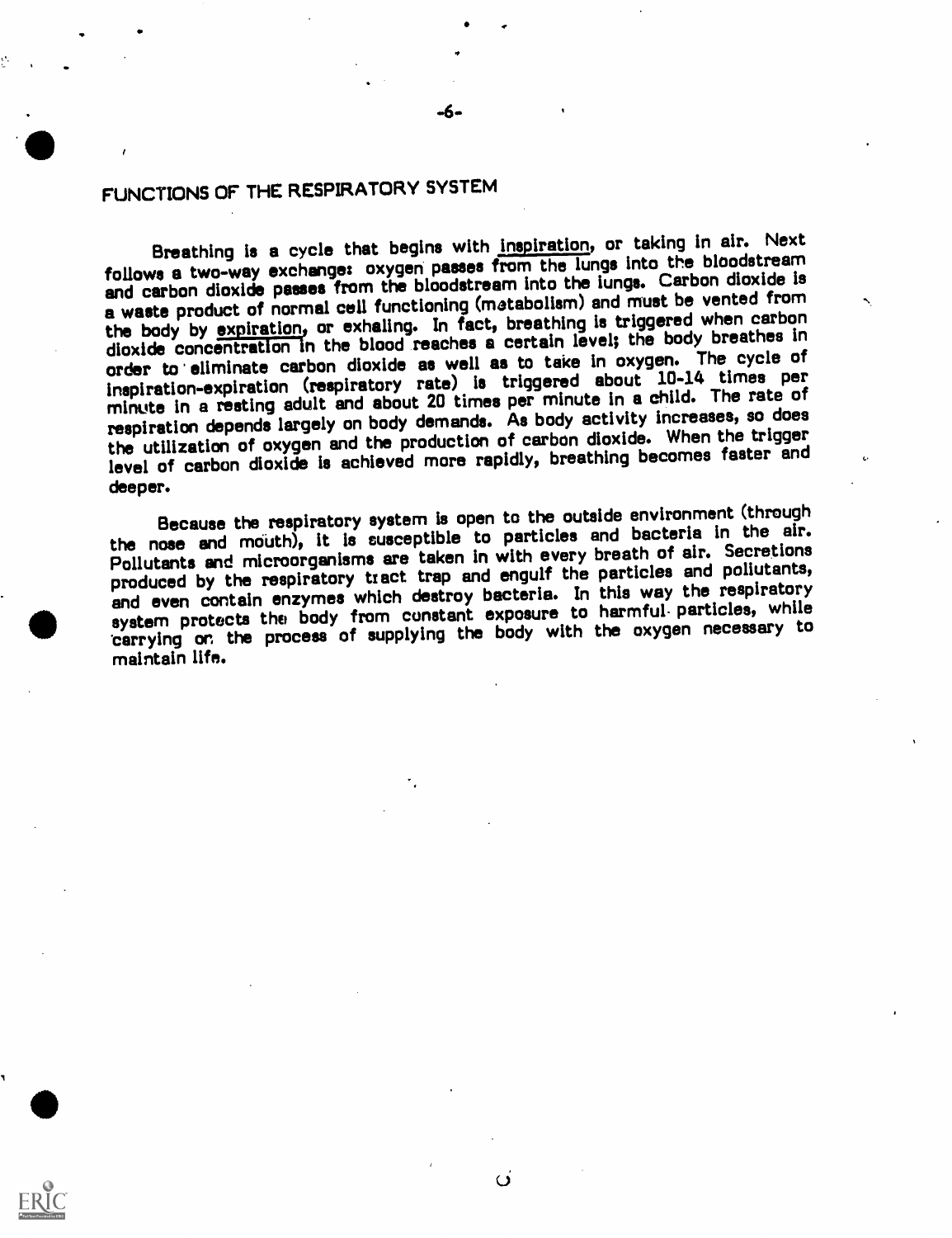## FUNCTIONS OF THE RESPIRATORY SYSTEM

Breathing is a cycle that begins with inspiration, or taking in air. Next follows a two-way exchange: oxygen passes from the lungs into the bloodstream and carbon dioxide passes from the bloodstream into the lungs. Carbon dioxide is a waste product of normal cell functioning (metabolism) and must be vented from the body by expiration, or exhaling. In fact, breathing is triggered when carbon dioxide concentration in the blood reaches a certain level; the body breathes in order to eliminate carbon dioxide as well as to take in oxygen. The cycle of inspiration-expiration (respiratory rate) is triggered about 10-14 times per minute In a resting adult and about 20 times per minute in a child. The rate of respiration depends largely on body demands. As body activity increases, so does the utilization of oxygen and the production of carbon dioxide. When the trigger level of carbon dioxide is achieved more rapidly, breathing becomes faster and deeper.

Because the respiratory system is open to the outside environment (through the nose and mouth), it is susceptible to particles and bacteria in the air. Pollutants and microorganisms are taken in with every breath of air. Secretions produced by the respiratory tract trap and engulf the particles and pollutants, and even contain enzymes which destroy bacteria. In this way the respiratory system protects the body from constant exposure to harmful- particles, while tarrying or, the process of supplying the body with the oxygen necessary to maintain life.

 $\overline{\Omega}$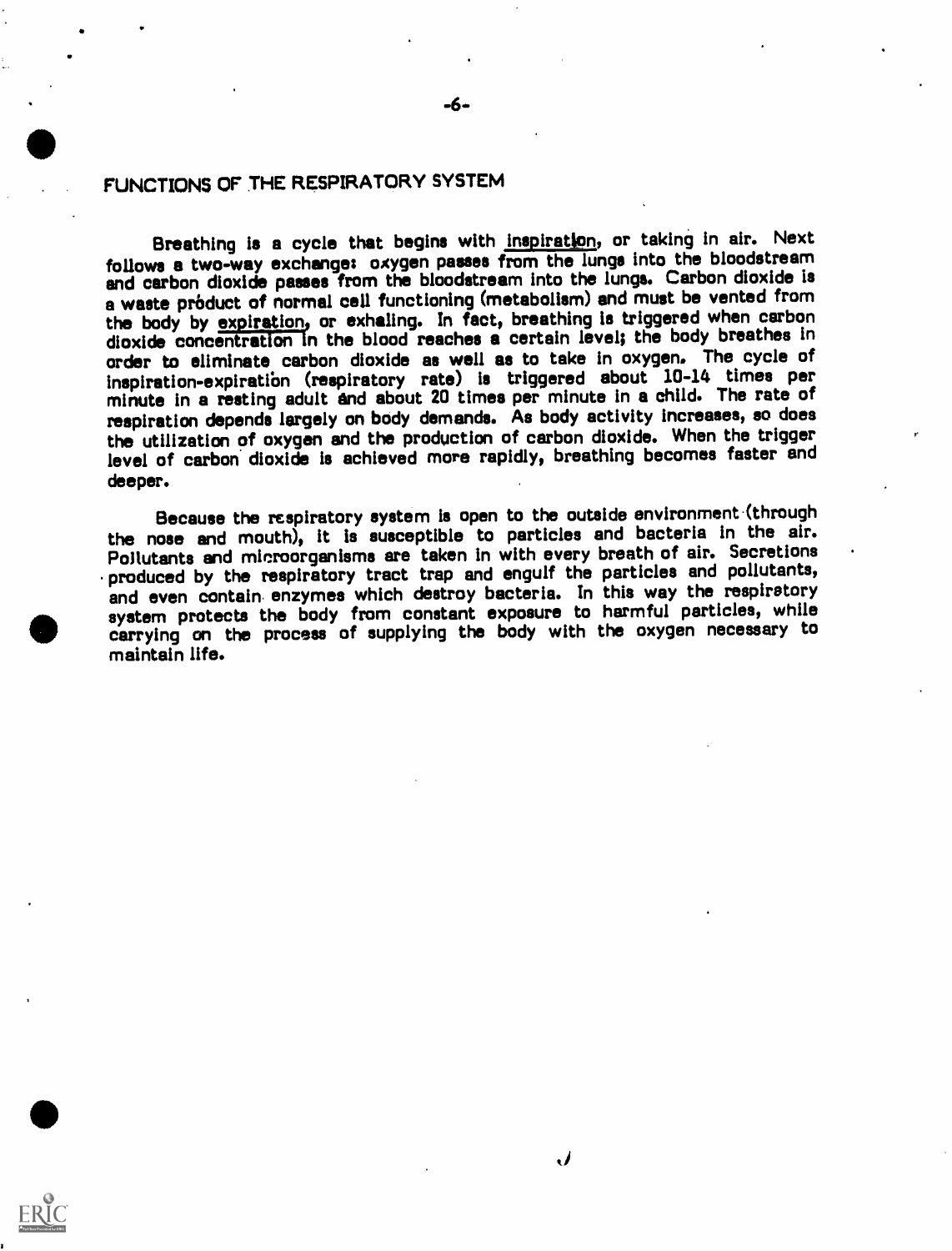### FUNCTIONS OF THE RESPIRATORY SYSTEM

**111** 

Breathing is a cycle that begins with inspiration, or taking in air. Next follows a two-way exchange: oxygen passes from the lungs into the bloodstream and carbon dioxide passes from the bloodstream into the lungs. Carbon dioxide is a waste product of normal cell functioning (metabolism) and must be vented from the body by expiration, or exhaling. In fact, breathing is triggered when carbon dioxide concentration In the blood reaches a certain level; the body breathes In order to eliminate carbon dioxide as well as to take in oxygen. The cycle of inspiration-expiratibn (respiratory rate) is triggered about 10-14 times per minute in a resting adult and about 20 times per minute in a child. The rate of respiration depends largely on body demands. As body activity increases, so does the utilization of oxygen and the production of carbon dioxide. When the trigger level of carbon dioxide is achieved more rapidly, breathing becomes faster and deeper.

Because the respiratory system is open to the outside environment (through the nose and mouth), it Is susceptible to particles and bacteria in the air. Pollutants and microorganisms are taken in with every breath of air. Secretions produced by the respiratory tract trap and engulf the particles and pollutants, and even contain enzymes which destroy bacteria. In this way the respiratory system protects the body from constant exposure to harmful particles, while carrying on the process of supplying the body with the oxygen necessary to maintain life.

 $\bm{J}$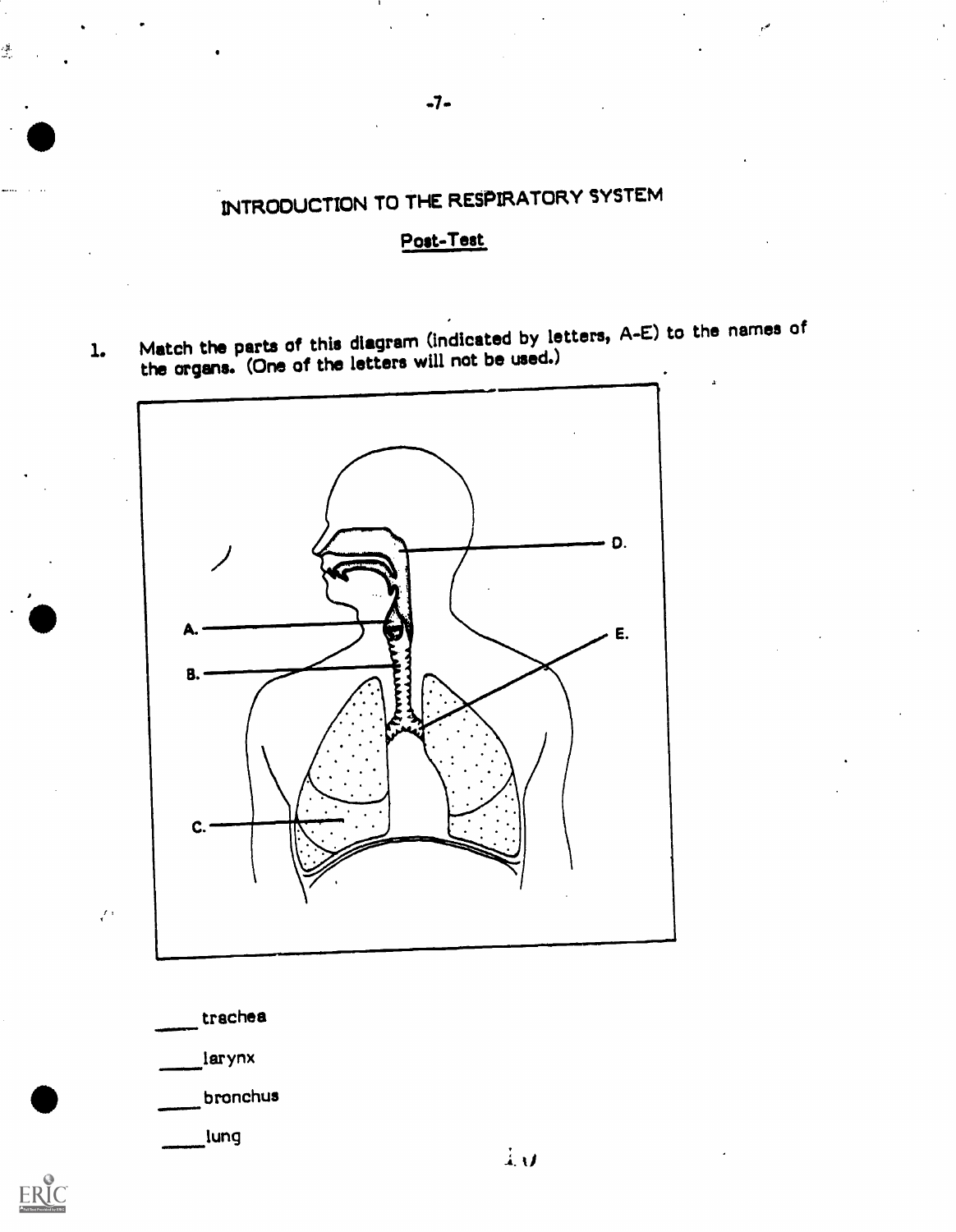# INTRODUCTION TO THE RESPIRATORY SYSTEM

### Post-Test

1. Match the parts of this diagram (indicated by letters,  $A-E$ ) to the names of the organs. (One of the letters will not be used.)



trachea

 $\frac{1}{2}$ 

. p.

larynx

 $\mathcal{E}^{\pm}$ 

ERIC

I bronchus

lung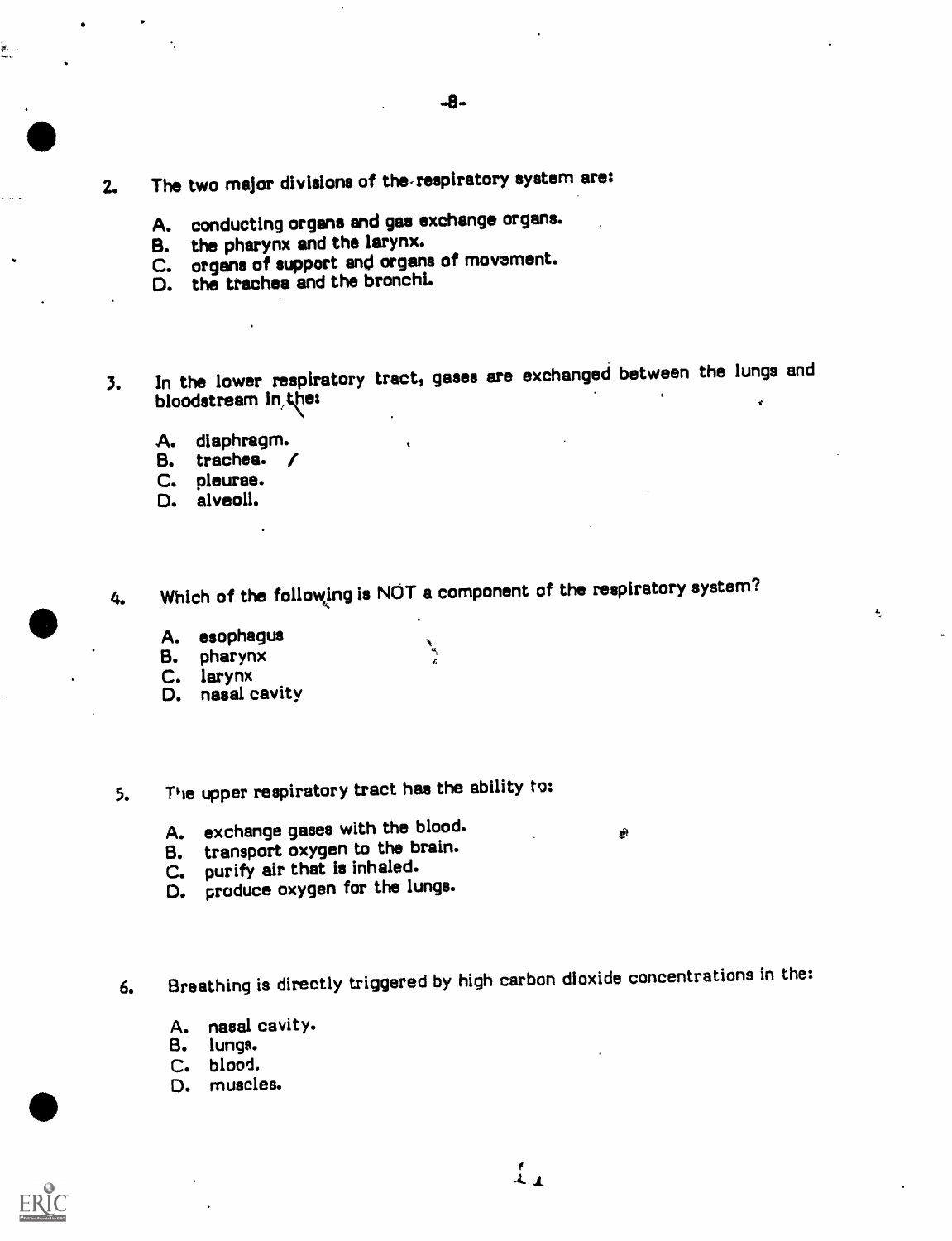- 2. The two major divisions of the-respiratory system are:
	- A. conducting organs and gas exchange organs.
	- B. the pharynx and the larynx.<br>C. organs of support and organs
	- organs of support and organs of movement.
	- D. the trachea and the bronchi.
- 3. In the lower respiratory tract, gases are exchanged between the lungs and bloodstream in the:
	- A. diaphragm.
	- B. trachea. /
	- C. pleurae.
	- D. alveoli.

4. Which of the following is NOT a component of the respiratory system?

٦

 $\frac{1}{\epsilon}$ 

- A. esophagus
- B. pharynx
- C. larynx
- D. nasal cavity
- 5. The upper respiratory tract has the ability to:
	- A. exchange gases with the blood.
	- B. transport oxygen to the brain.
	- C. purify air that is inhaled.
	- D. produce oxygen for the lungs.

6. Breathing is directly triggered by high carbon dioxide concentrations in the:

- A. nasal cavity.
- B. lungs.
- C. blood.
- D. muscles.



i<br>...

Ê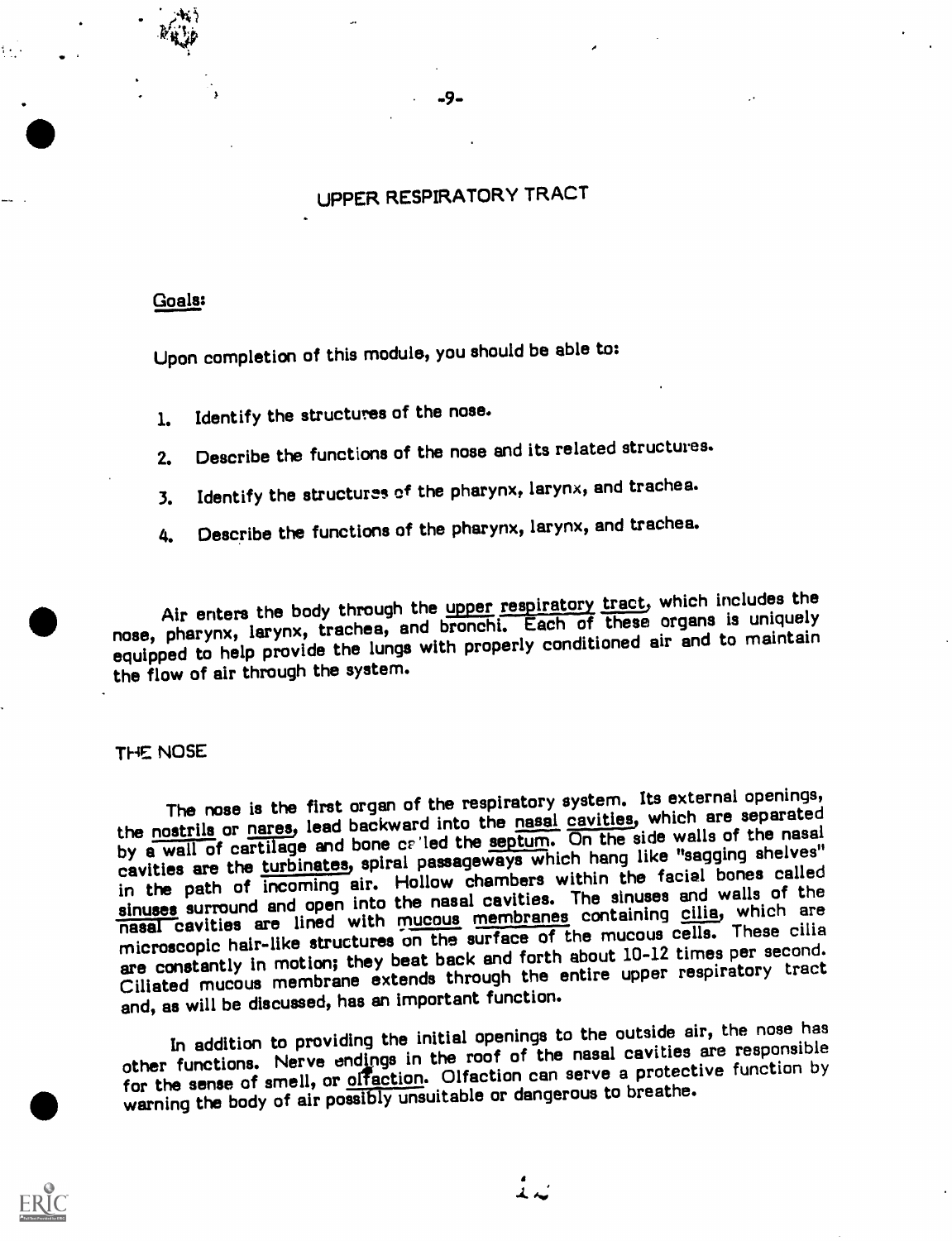### UPPER RESPIRATORY TRACT

-9-,

### Goals:

Upon completion of this module, you should be able to:

- 1. Identify the structures of the nose.
- 2. Describe the functions of the nose and its related structures.
- 3. Identify the structures of the pharynx, larynx, and trachea.
- 4. Describe the functions of the pharynx, larynx, and trachea.

Air enters the body through the upper respiratory tract, which includes the nose, pharynx, larynx, trachea, and bronchi. Each of these organs is uniquely equipped to help provide the lungs with properly conditioned air and to maintain the flow of air through the system.

### THE NOSE

The nose is the first organ of the respiratory system. Its external openings, the nostrils or nares, lead backward into the nasal cavities, which are separated by a wall of cartilage and bone called the septum. On the side walls of the nasal cavities are the turbinates, spiral passageways which hang like "sagging shelves" in the path of incoming air. Hollow chambers within the facial bones called sinuses surround and open into the nasal cavities. The sinuses and walls of the nasal cavities are lined with mucous membranes containing cilia, which are microscopic hair-like structures on the surface of the mucous cells. These cilia are constantly in motion; they beat back and forth about 10-12 times per second. Ciliated mucous membrane extends through the entire upper respiratory tract and, as will be discussed, has an important function.

In addition to providing the initial openings to the outside air, the nose has other functions. Nerve endings in the roof of the nasal cavities are responsible for the sense of smell, or offaction. Olfaction can serve a protective function by warning the body of air possibly unsuitable or dangerous to breathe.



 $\stackrel{\bullet}{\downarrow}$   $\sim$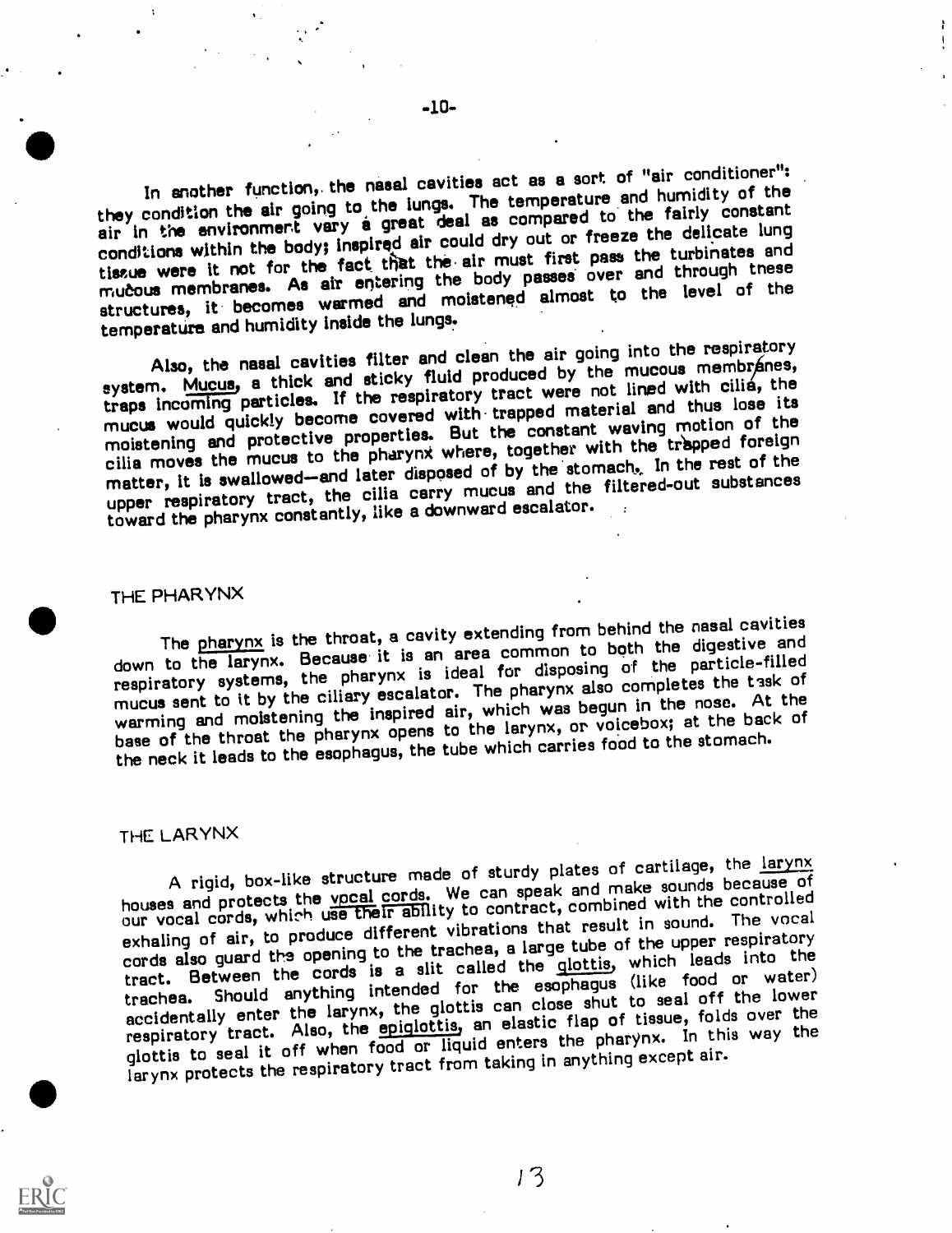In another function,, the nasal cavities act as a sort of "air conditioner": they condition the air going to the lungs. The temperature and humidity of the air in the environment vary a great deal as compared to the fairly constant conditions within the body; Inspired air could dry out or freeze the delicate lung tissue were it not for the fact that the air must first pass the turbinates and mucous membranes. As air entering the body passes over and through these structures, it becomes warmed and moistened almost to the level of the temperature and humidity Inside the lungs.

Also, the nasal cavities filter and clean the air going into the respiratory system. Mucus, a thick and sticky fluid produced by the mucous membranes, traps incoming particles. If the respiratory tract were not lined with cilia, the mucus would quickly become covered with- trapped material and thus lose its moistening and protective properties. But the constant waving motion of the cilia moves the mucus to the pharynx where, together with the trapped foreign matter, it is swallowed-and later disposed of by the stomach. In the rest of the upper respiratory tract, the cilia carry mucus and the filtered-out substances toward the pharynx constantly, like a downward escalator.

### THE PHARYNX

The pharynx is the throat, a cavity extending from behind the nasal cavities down to the larynx. Because it is an area common to both the digestive and respiratory systems, the pharynx is ideal for disposing of the particle-filled mucus sent to it by the ciliary escalator. The pharynx also completes the task of warming and moistening the inspired air, which was begun in the nose. At the base of the throat the pharynx opens to the larynx, or voicebox; at the back of the neck it leads to the esophagus, the tube which carries food to the stomach.

### THE LARYNX

A rigid, box-like structure made of sturdy plates of cartilage, the larynx houses and protects the vpcal cords. We can speak and make sounds because of our vocal cords, which use their ability to contract, combined with the controlled exhaling of air, to produce different vibrations that result in sound. The vocal cords also guard the opening to the trachea, a large tube of the upper respiratory tract. Between the cords is a slit called the glottis, which leads into the Should anything intended for the esophagus (like food or water) accidentally enter the larynx, the glottis can close shut to seal off the lower respiratory tract. Also, the epiglottis, an elastic flap of tissue, folds over the glottis to seal it off when food or liquid enters the pharynx. In this way the larynx protects the respiratory tract from taking in anything except air.



 $-10-$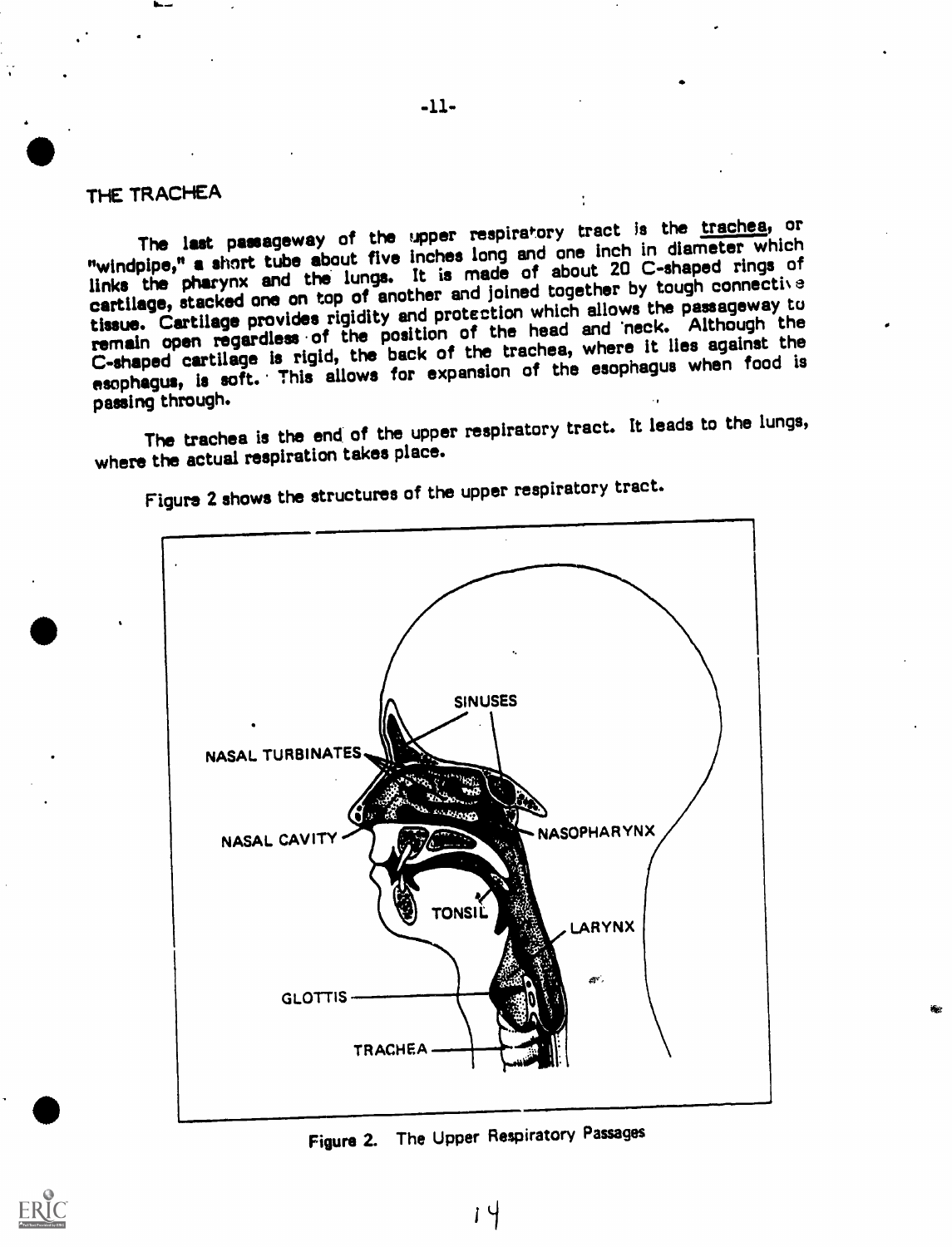### THE TRACHEA

The last passageway of the upper respiratory tract is the trachea, or "windpipe," a short tube about five inches long and one inch in diameter which links the pharynx and the lungs. It is made of about 20 C-shaped rings of cartilage, stacked one on top of another and joined together by tough connective tissue. Cartilage provides rigidity and protection which allows the passageway tu remain open regardless of the position of the head and 'neck. Although the C-shaped cartilage is rigid, the back of the trachea, where It lies against the esophagus, is soft. This allows for expansion of the esophagus when food is passing through.

The trachea is the end of the upper respiratory tract. It leads to the lungs, where the actual respiration takes place.



Figure 2 shows the structures of the upper respiratory tract.

Figure 2. The Upper Respiratory Passages

 $14$ 

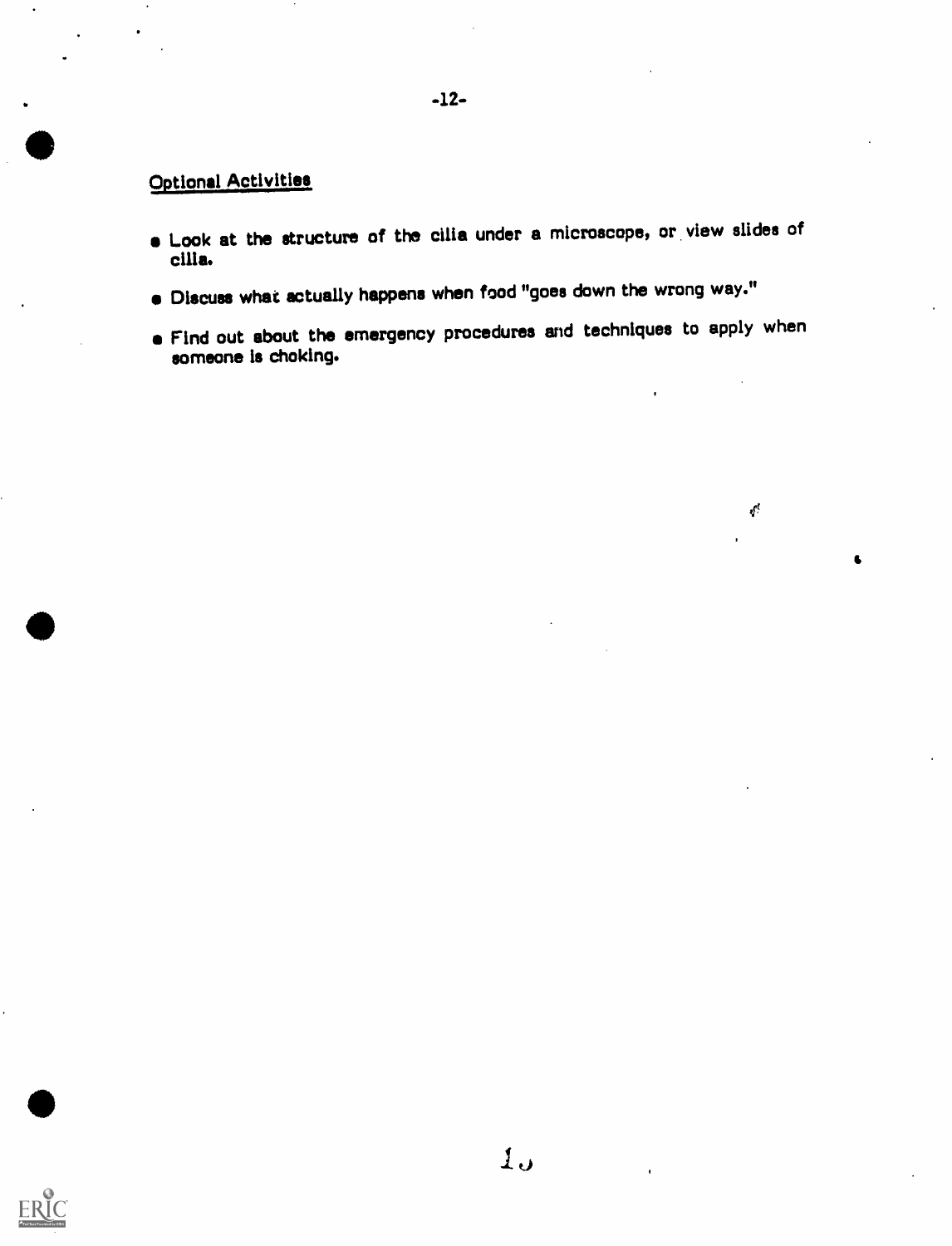## Optional Activities

- Look at the structure of the cilia under a microscope, or view slides of cilia.
- Discuss what actually happens when food "goes down the wrong way."
- **e** Find out about the emergency procedures and techniques to apply when someone is choking.

 $\epsilon^{\prime}$ 

 $\bullet$ 

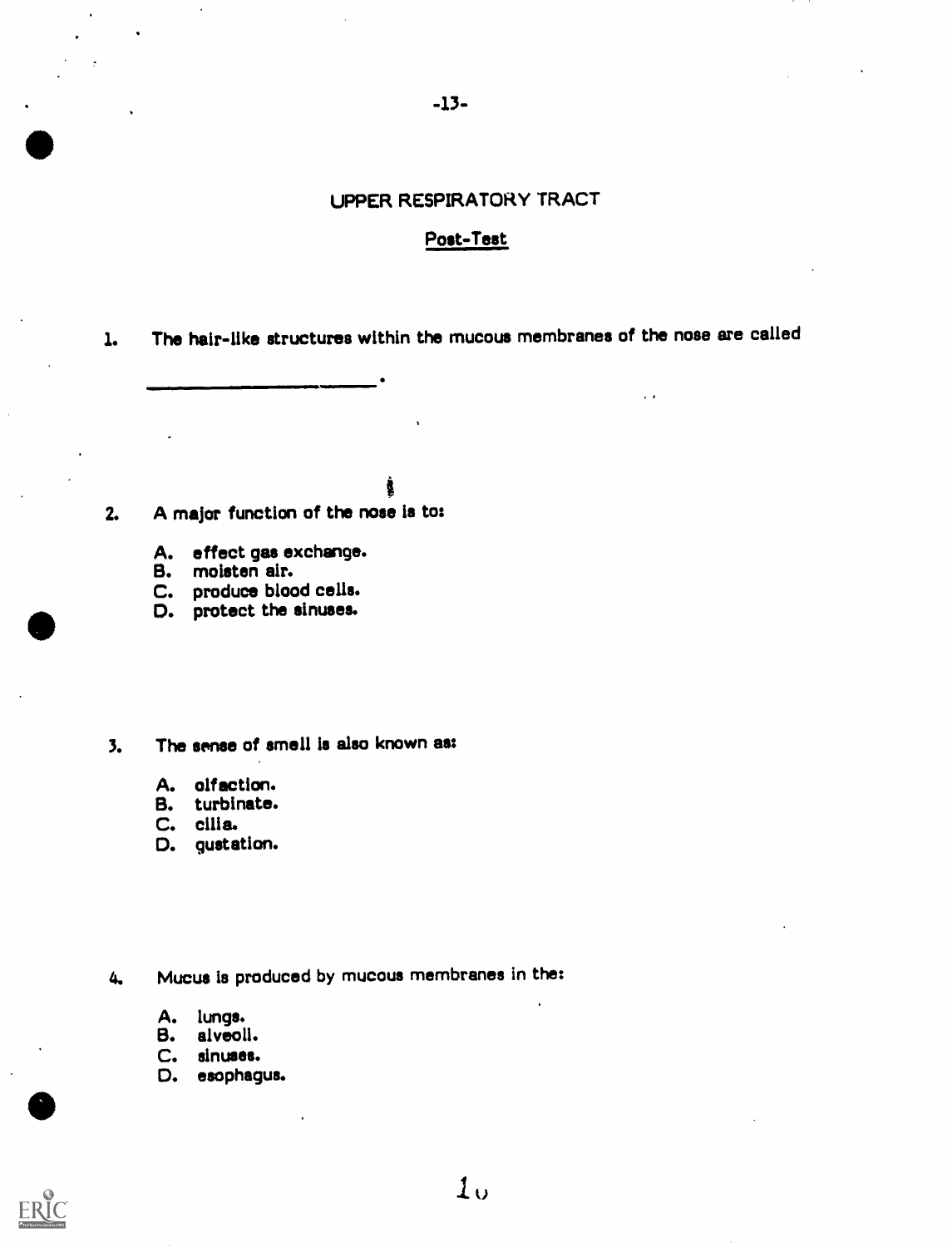.  $-13-$ 

### UPPER RESPIRATORY TRACT

### Post-Test

1. The hair-like structures within the mucous membranes of the nose are called

 $\ddot{\phantom{0}}$ 

i

 $\blacksquare$ 

- 2. A major function of the nose is to:
	- A. effect gas exchange.
	- B. moisten air.

 $\mathbf{r} = \mathbf{r} \times \mathbf{r}$ 

 $\bullet$ 

- C. produce blood cells.
- $\bullet$ D. protect the sinuses.

### 3. The sense of smell is also known as:

- A. olfaction.
- B. turbinate.
- C. cilia.
- D. gustation.

4. Mucus is produced by mucous membranes in the:

- A. lungs.
- B. alveoli.
- C. sinuses.
- D. esophagus.

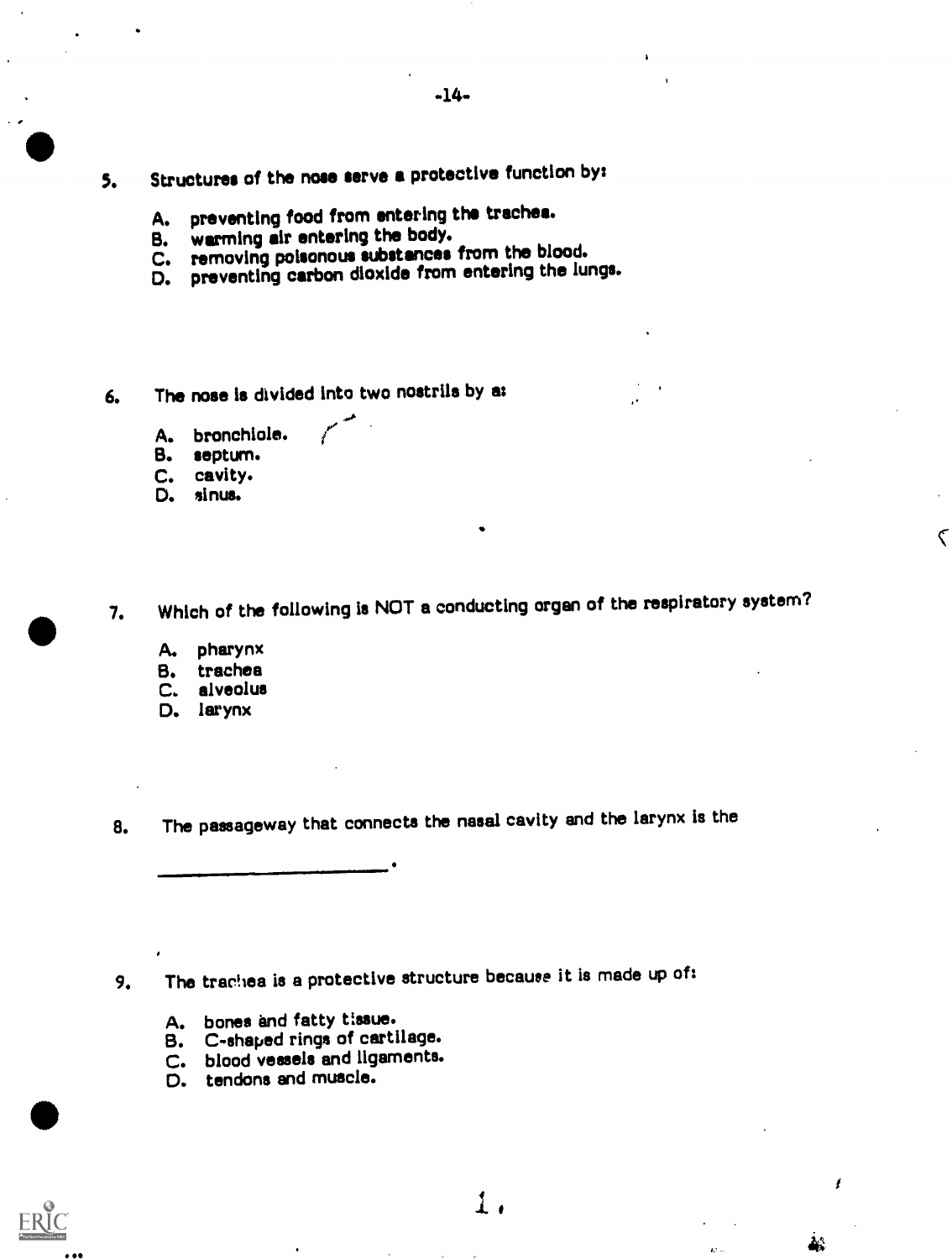- 5. Structures of the nose serve a protective function by:
	- A. preventing food from entering the trachea.
	- B. warming air entering the body.
	-
	- C. removing poisonous substances from the blood.<br>D. preventing carbon dioxide from entering the lu preventing carbon dioxide from entering the lungs.

 $\mathcal{C}^{\bullet}$ 

- 6. The nose Is divided into two nostrils by as
	- A. bronchiole.
	- B. septum.
	- C. cavity.
	- D. sinus.

7. Which of the following is NOT a conducting organ of the respiratory system?

- A. pharynx
- B. trachea
- C. alveolus
- D. larynx

8. The passageway that connects the nasal cavity and the larynx is the

9. The trachea is a protective structure because it is made up of:

 $\mathbf 1$  .

I

ዺጜ

 $\mathbf{r}$ 

 $\overline{\zeta}$ 

- A. bones and fatty tissue.
- B. C-shaped rings of cartilage.
- C. blood vessels and ligaments.
- D. tendons and muscle.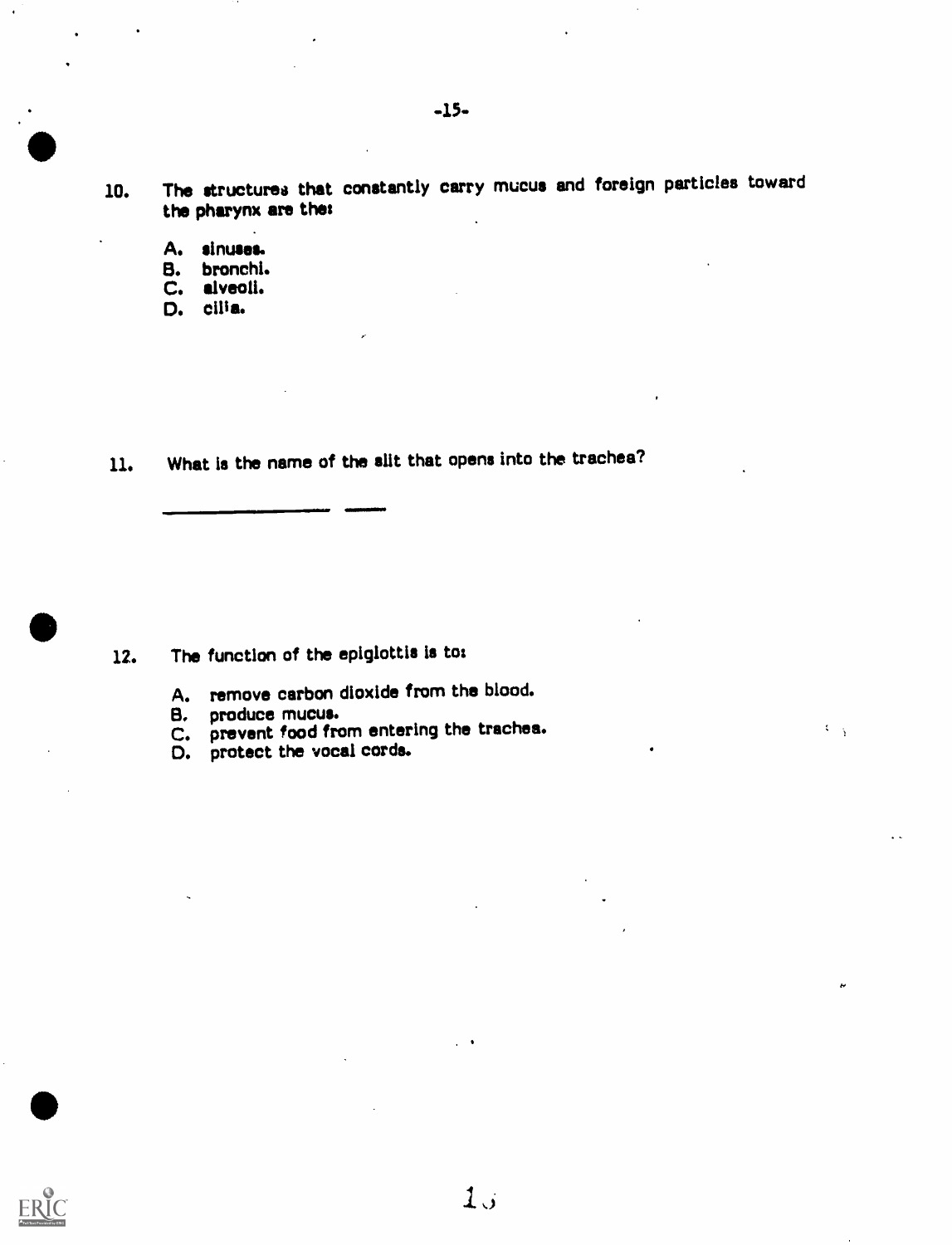- 10. The structures that constantly carry mucus and foreign particles toward the pharynx are the:
	- A. sinuses.

 $\bullet$ 

 $\bullet$ 

- 8. bronchi.
- C. alveoli.
- D. cilia.

11. What Is the name of the slit that opens into the trachea?

111111111100011110

- 12. The function of the epiglottis is to:
	- A. remove carbon dioxide from the blood.
	- B. produce mucus.
	- C. prevent food from entering the trachea.

 $10$ 

 $\mathcal{L}=\frac{1}{3}$ 

D. protect the vocal cords.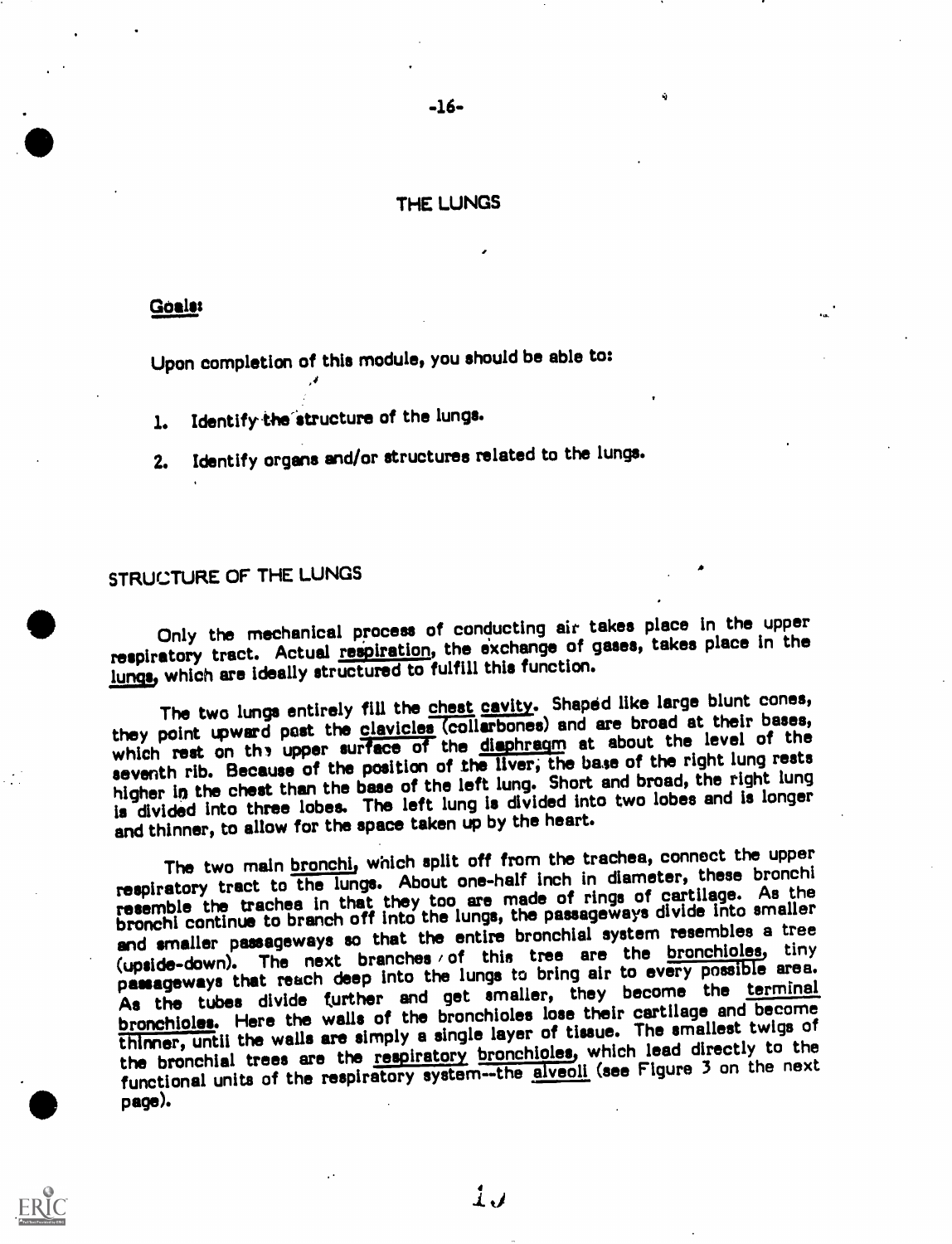### THE LUNGS

### Goals:

Upon completion of this module, you should be able to:

1. Identify the structure of the lungs.

2. Identify organs and/or structures related to the lungs.

## STRUCTURE OF THE LUNGS

Only the mechanical process of conducting air takes place in the upper respiratory tract. Actual respiration, the exchange of gases, takes place in the lungs, which are ideally structured to fulfill this function.

The two lungs entirely fill the chest cavity. Shaped like large blunt cones, they point upward past the clavicles (collarbones) and are broad at their bases, which rest on the upper surface of the diaphragm at about the level of the seventh rib. Because of the position of the liver, the base of the right lung rests higher in the chest than the base of the left lung. Short and broad, the right lung is divided into three lobes. The left lung is divided into two lobes and is longer and thinner, to allow for the space taken up by the heart.

The two main **bronchi**, which split off from the trachea, connect the upper respiratory tract to the lunge. About one-half inch in diameter, these bronchi respiratory tract to the lungs. About one-hair month is elected cartilage. As the<br>resemble the trachea in that they too are made of rings of cartilage. As the resemble the traches in that they too are made of flige of divide into smaller<br>bronchi continue to branch off into the lungs, the passageways divide into smaller and smaller passageways so that the entire bronchial system resembles a tree (upside-down). The next branches / of this tree are the bronchioles, tiny passageways that reach deep into the lunge to bring air to every possible area. As the tubes divide further and get smaller, they become the terminal bronchioles. Here the walls of the bronchioles lose their cartilage and become thinner, until the walls are simply a single layer of tissue. The smallest twigs of the bronchial trees are the respiratory bronchioles, which lead directly to the functional units of the respiratory system--the alveoli (see Figure 3 on the next page).

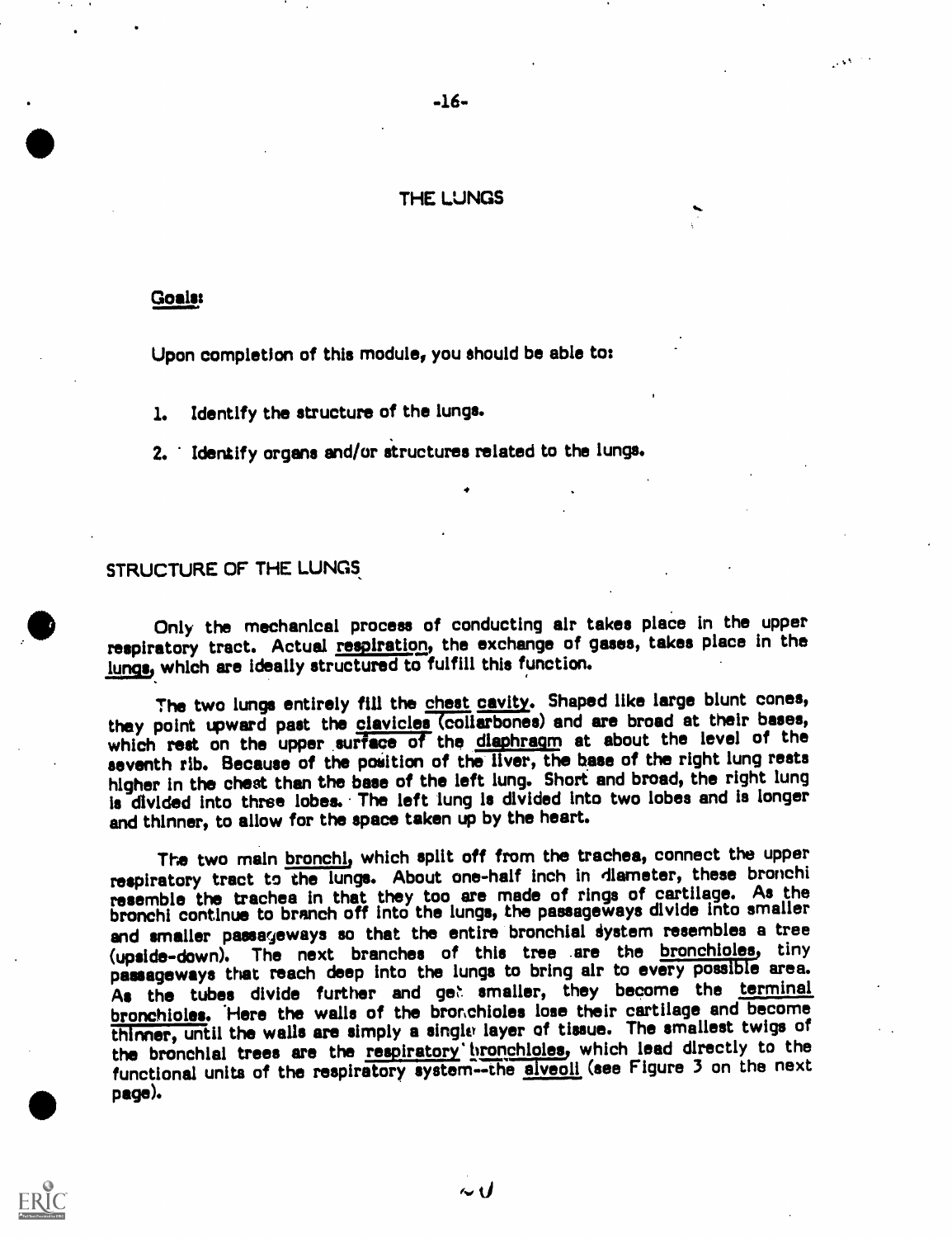### THE LUNGS

-16-

#### Goals:

Upon completion of this module, you should be able to:

1. Identify the structure of the lungs.

2. Identify organs and/or structures related to the lungs.

#### STRUCTURE OF THE LUNGS

Only the mechanical process of conducting air takes place in the upper respiratory tract. Actual respiration, the exchange of gases, takes place in the lungs, which are ideally structured to fulfill this function.

The two lungs entirely fill the chest cavity. Shaped like large blunt cones, they point upward past the clavicles (collarbones) and are broad at their bases, which rest on the upper surface of the diaphragm at about the level of the seventh rib. Because of the position of the liver, the base of the right lung rests higher in the chest than the base of the left lung. Short and broad, the right lung is divided into three lobes. The left lung is divided into two lobes and is longer and thinner, to allow for the space taken up by the heart.

The two main bronchi, which split off from the trachea, connect the upper respiratory tract to the lungs. About one-half inch in diameter, these bronchi resemble the trachea in that they too are made of rings of cartilage. As the bronchi continue to branch off into the lungs, the passageways divide into smaller and smaller passageways so that the entire bronchial system resembles a tree (upside-down). The next branches of this tree .are the bronchioles, tiny passageways that reach deep into the lungs to bring air to every possible area. As the tubes divide further and get smaller, they become the terminal bronchioles. Here the walls of the bronchioles lose their cartilage and become thinner, until the walls are simply a single layer of tissue. The smallest twigs of the bronchial trees are the respiratory bronchioles, which lead directly to the functional units of the respiratory system--the aiveoli (see Figure 3 on the next page).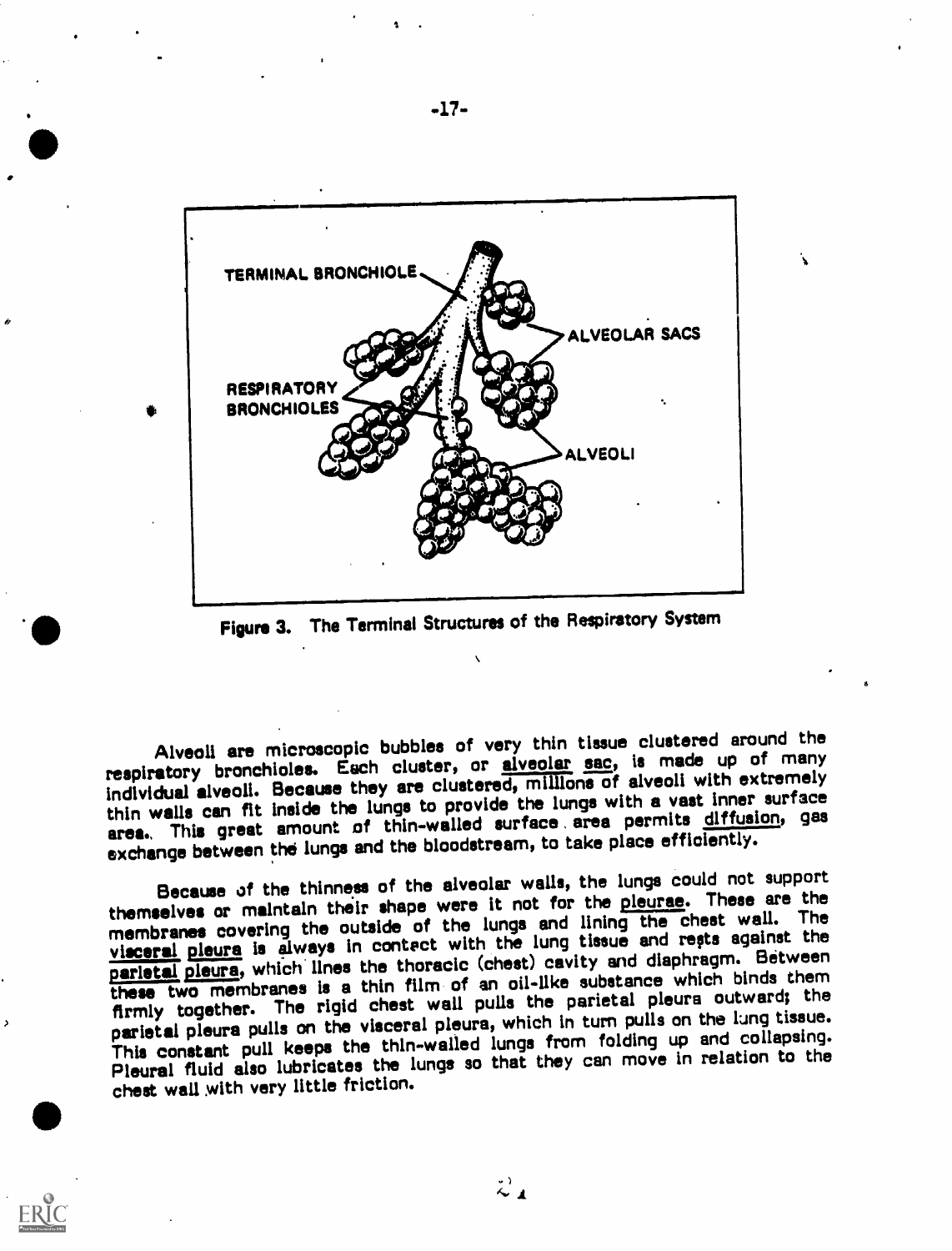

Figure 3. The Terminal Structures of the Respiratory System

Alveoli are microscopic bubbles of very thin tissue clustered around the respiratory bronchioles. Each cluster, or alveolar sac, is made up of many individual alveoli. Because they are clustered, millions of alveoli with extremely thin walls can fit inside the lungs to provide the lungs with a vast inner surface area.. This great amount of thin-walled surface area permits diffusion, gas exchange between the lungs and the bloodstream, to take place efficiently.

Because of the thinness of the alveolar walls, the lungs could not support themselves or maintain their shape were it not for the pleurae. These are the membranes covering the outside of the lungs and lining the chest wall. The visceral pleura is always in contect with the lung tissue and repts against the parletal pleura, which lines the thoracic (chest) cavity and diaphragm. Between these two membranes is a thin film of an oil-Ilke substance which binds them firmly together. The rigid chest wall pulls the parietal pleura outward; the parietal pleura pulls on the visceral pleura, which in turn pulls on the lung tissue. This constant pull keeps the thln-walled lungs from folding up and collapsing. Pleural fluid also lubricates the lungs so that they can move in relation to the chest wall with very little friction.

 $\ddot{\sim}$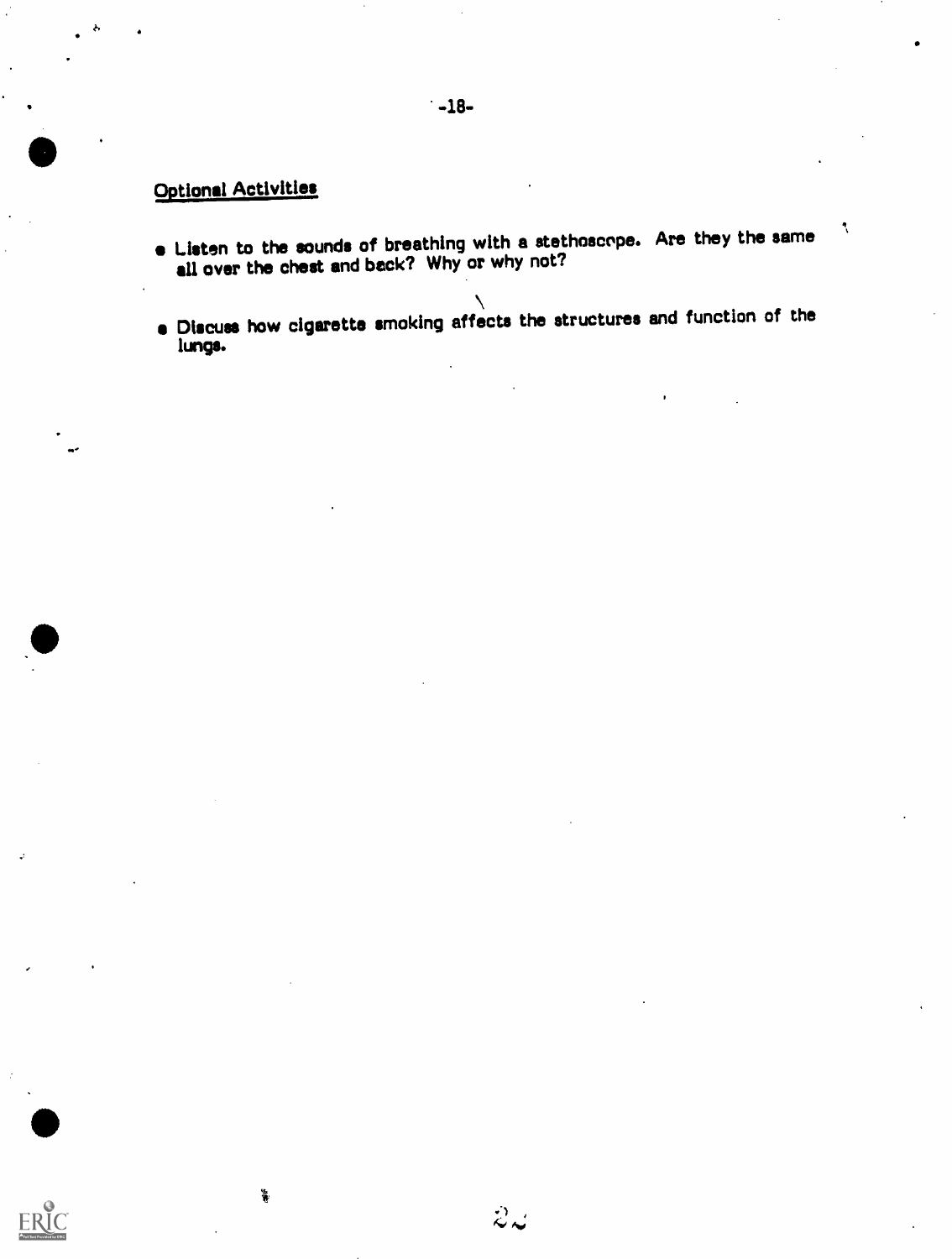## Optional Activities

 $\frac{4}{3}$ 

or'

ERIC

- Listen to the sounds of breathing with a stethoscope. Are they the same all over the chest and back? Why or why not?
- Discuss how cigarette smoking affects the structures and function of the lungs.

 $\ddot{\mathcal{Z}}$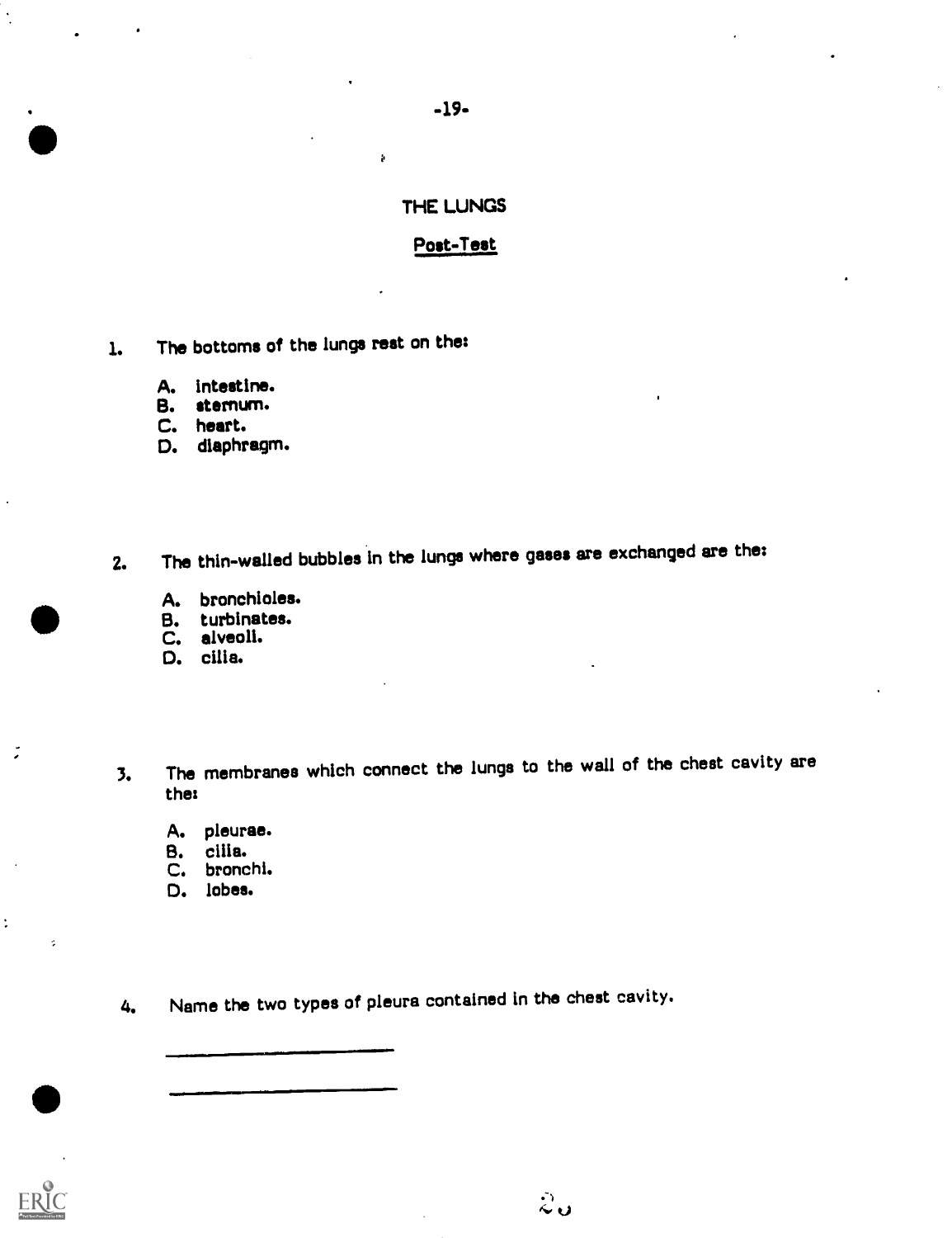### -19-

k

### THE LUNGS

### Post-Test

- 1. The bottoms of the lungs rest on the:
	- A. Intestine.
	- B. sternum.
	- C. heart.

so

D. diaphragm.

2. The thin-walled bubbles in the lungs where gases are exchanged are the:

- A. bronchioles.<br>B. turbinates.
- B. turbinates.
- C. alveoli.
- D. cilia.
- 3. The membranes which connect the lungs to the wall of the chest cavity are the:

 $\stackrel{\circ}{\sim}$ ປ

- A. pleurae.
- B. cilia.
- C. bronchi.
- D. lobes.

 $\bullet$   $\qquad$ 

 $\overline{\phantom{a}}$ 

 $\ddot{\cdot}$ 

 $\sim$ 

4. Name the two types of pleura contained In the chest cavity.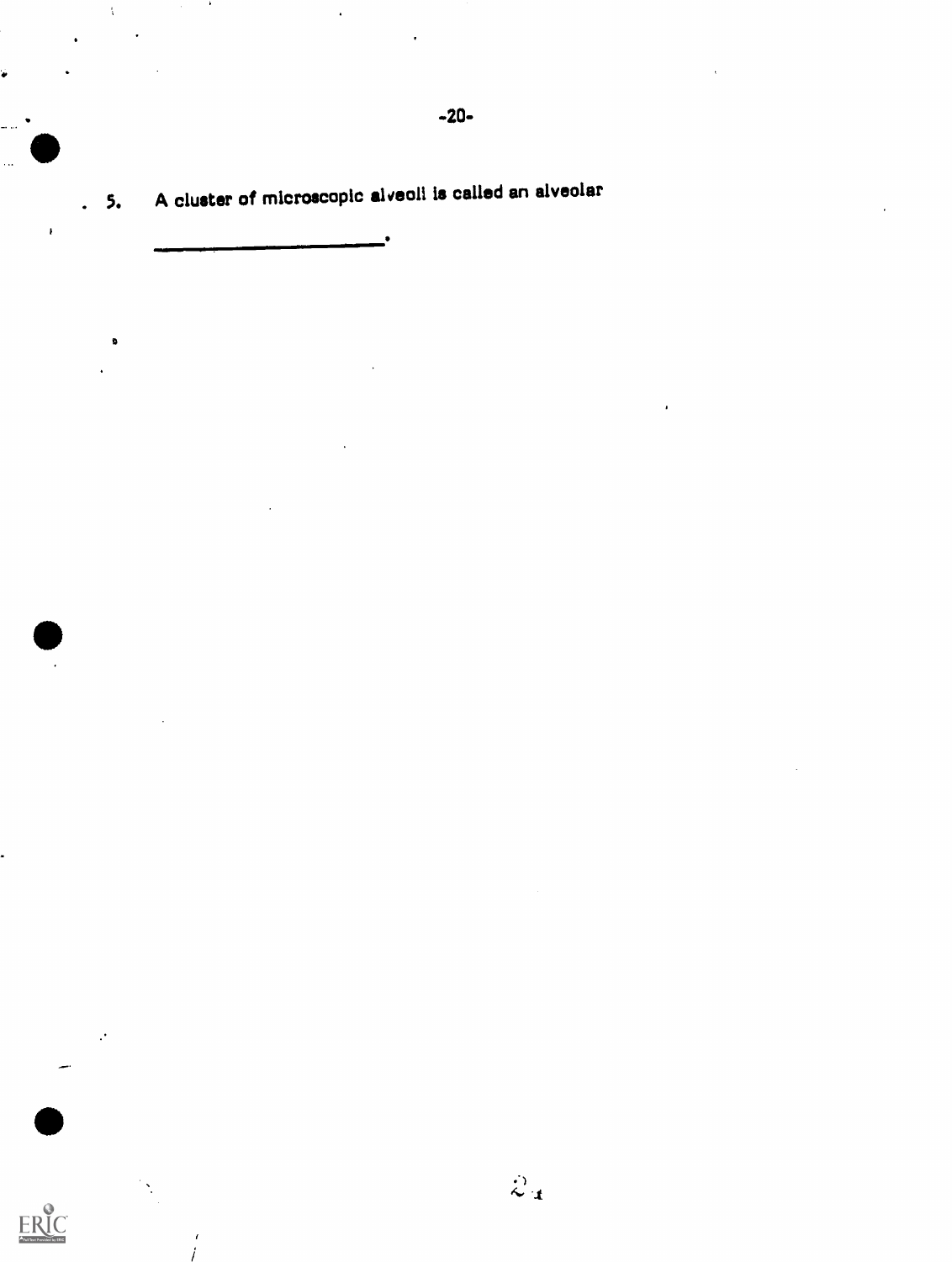-20- 0

. 5. A cluster of microscopic alveoli is called an alveolar

i

é

 $\bullet$ 

ERIC

D

 $\ddot{\phantom{a}}$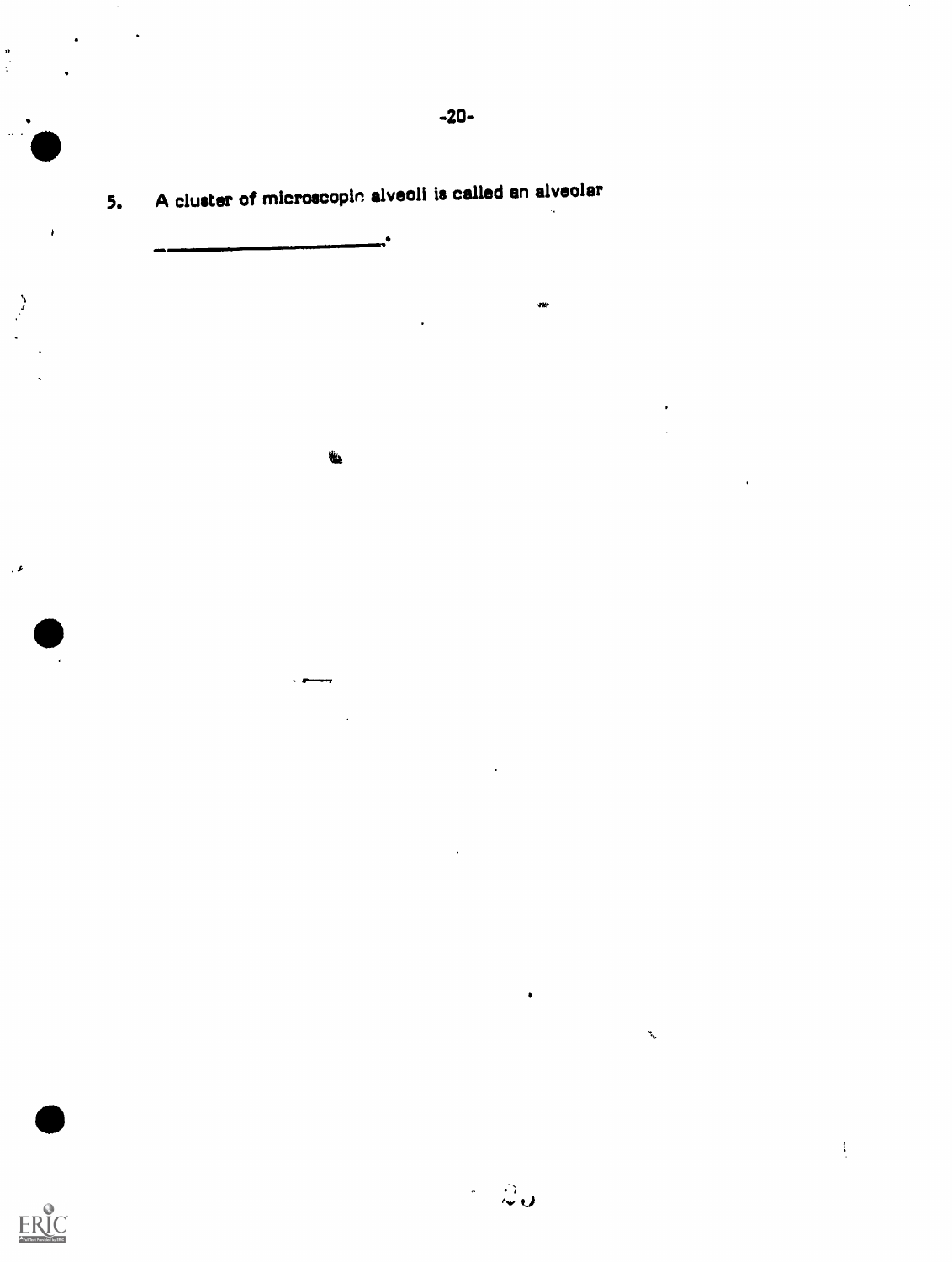.  $-20-$ 

**AVEC 1999** 

5. A cluster of mIcroscopin alveoli is called an alveolar

 $\frac{1}{2}$ 

a.......r ...r

i

alli anni Santa Santa S

,

 $\cdot$   $\cdot$ 

 $\begin{array}{c}\n\bullet \\
\bullet \\
\bullet \\
\bullet\n\end{array}$ 

 $\bullet$ 

 $\ddot{ }$ 

 $\mathbf{I}$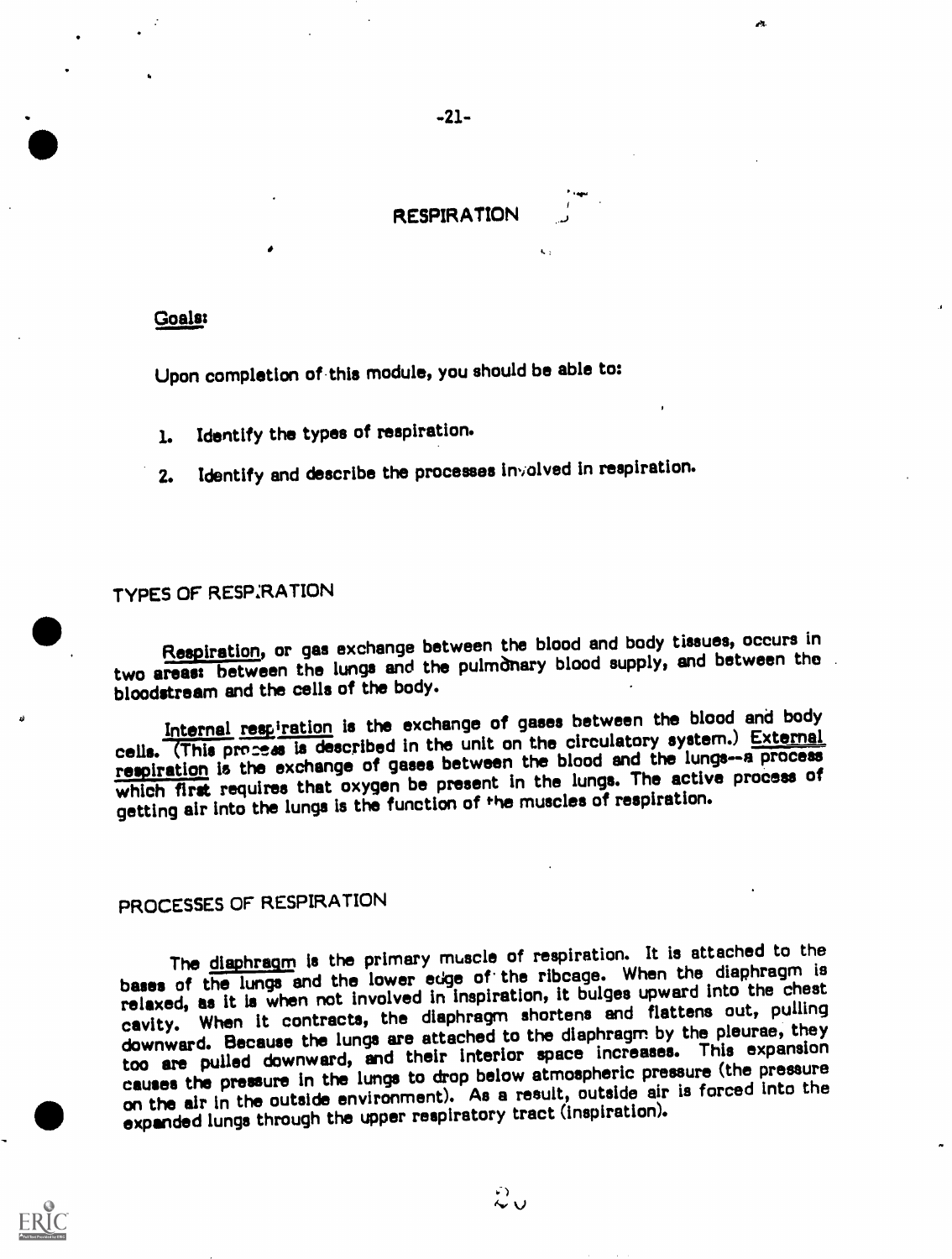

-21-

### Goals:

Upon completion of.this module, you should be able to:

- 1. Identify the types of respiration.
- Identify and describe the processes involved in respiration.  $2.$

### TYPES OF RESP:RATION

Respiration, or gas exchange between the blood and body tissues, occurs in two areas: between the lungs and the pulmOnary blood supply, and between the bloodstream and the cells of the body.

Internal respiration is the exchange of gases between the blood and body cells. (This process is described in the unit on the circulatory system.) External respiration is the exchange of gases between the blood and the lungs-a process which first requires that oxygen be present in the lungs. The active process of getting air into the lungs is the function of the muscles of respiration.

### PROCESSES OF RESPIRATION

The diaphragm is the primary muscle of respiration. It is attached to the bases of the lungs and the lower edge of the ribcage. When the diaphragm is relaxed, as it is when not involved in inspiration, it bulges upward into the chest cavity. When it contracts, the diaphragm shortens and flattens out, pulling downward. Because the lungs are attached to the diaphragm by the pleurae, they too are pulled downward, and their interior space increases. This expansion causes the pressure in the lungs to drop below atmospheric pressure (the pressure expanded lungs through the upper respiratory tract (inspiration). on the air in the outside environment). As a result, outside air is forced Into the

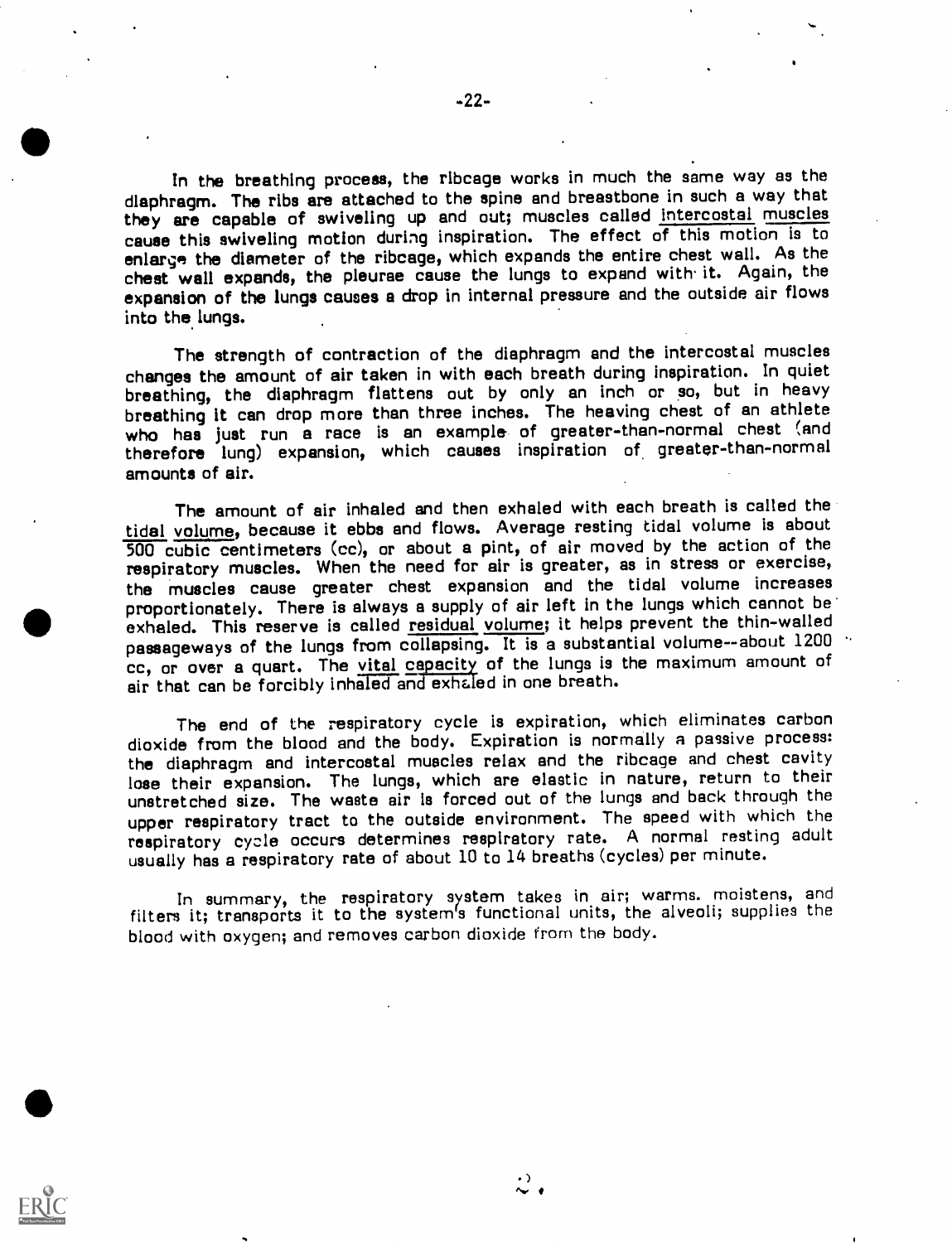In the breathing process, the ribcage works in much the same way as the diaphragm. The ribs are attached to the spine and breastbone in such a way that they are capable of swiveling up and out; muscles called intercostal muscles cause this swiveling motion during inspiration. The effect of this motion is to enlarge the diameter of the ribcage, which expands the entire chest wall. As the chest wall expands, the pleurae cause the lungs to expand with it. Again, the expansion of the lungs causes a drop in internal pressure and the outside air flows into the lungs.

The strength of contraction of the diaphragm and the intercostal muscles changes the amount of air taken in with each breath during inspiration. In quiet breathing, the diaphragm flattens out by only an inch or so, but in heavy breathing it can drop more than three inches. The heaving chest of an athlete who has just run a race is an example of greater-than-normal chest (and therefore lung) expansion, which causes inspiration of greater-than-normal amounts of air.

The amount of air inhaled and then exhaled with each breath is called the tidal volume, because it ebbs and flows. Average resting tidal volume is about 500 cubic centimeters (cc), or about a pint, of air moved by the action of the respiratory muscles. When the need for air is greater, as in stress or exercise, the muscles cause greater chest expansion and the tidal volume increases proportionately. There is always a supply of air left in the lungs which cannot be exhaled. This reserve is called residual volume; it helps prevent the thin-walled passageways of the lungs from collapsing. It is a substantial volume--about 1200 cc, or over a quart. The vital capacity of the lungs is the maximum amount of air that can be forcibly inhaled and exhaled in one breath.

The end of the respiratory cycle is expiration, which eliminates carbon dioxide from the blood and the body. Expiration is normally a passive process: the diaphragm and intercostal muscles relax and the ribcage and chest cavity lose their expansion. The lungs, which are elastic in nature, return to their unstretched size. The waste air is forced out of the lungs and back through the upper respiratory tract to the outside environment. The speed with which the respiratory cycle occurs determines respiratory rate. A normal resting adult usually has a respiratory rate of about 10 to 14 breaths (cycles) per minute.

In summary, the respiratory system takes in air; warms. moistens, and filters it; transports it to the system's functional units, the alveoli; supplies the blood with oxygen; and removes carbon dioxide from the body.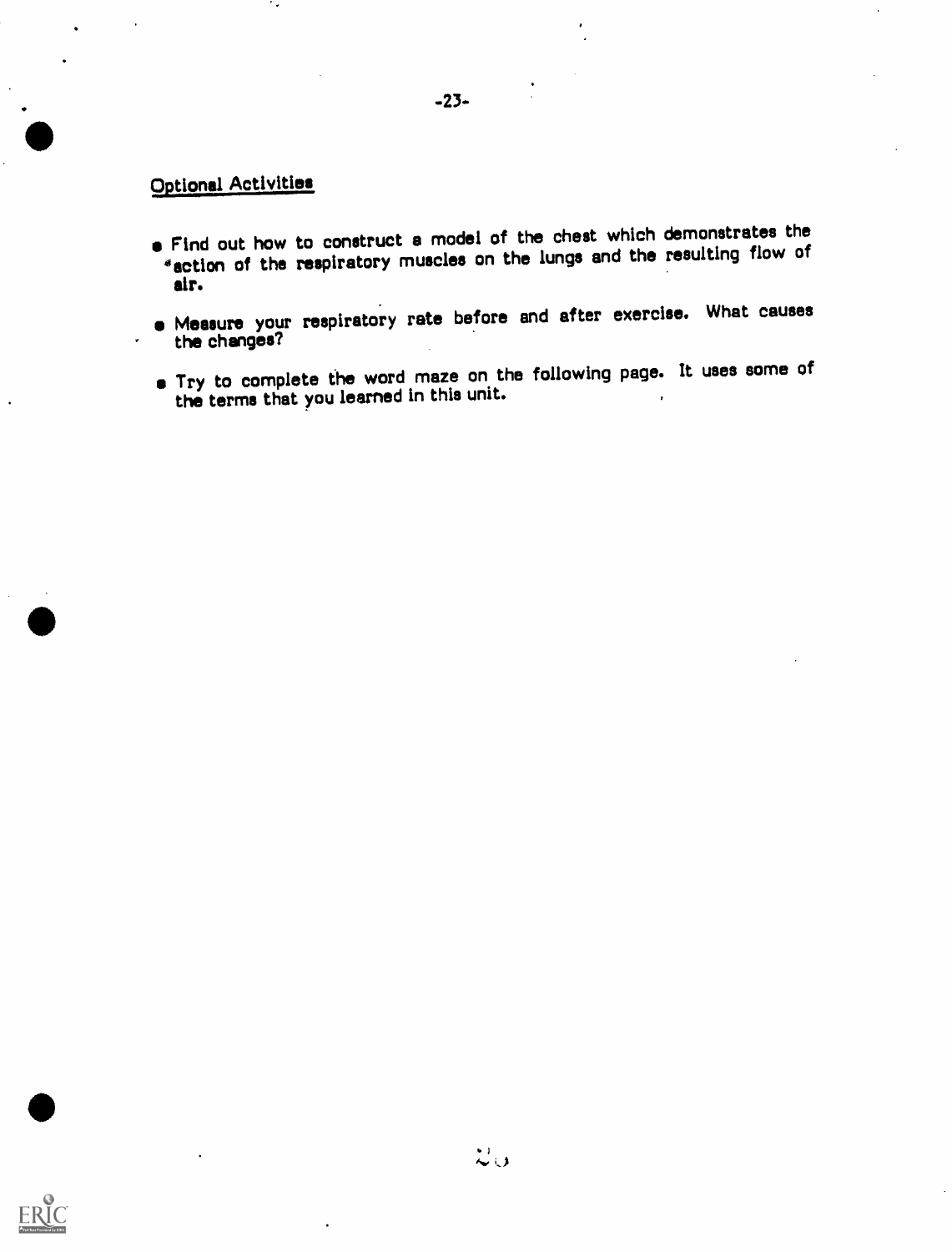### Optional Activities

.<br>- Participants of the state of the state of the state of the state of the state of the state of the state of<br>- Participants of the state of the state of the state of the state of the state of the state of the state of

- Find out how to construct a model of the chest which demonstrates the \*action of the respiratory muscles on the lungs and the resulting flow of air.
- Measure your respiratory rate before and after exercise. What causes the changes?
- Try to complete the word maze on the following page. It uses some of the terms that you learned in this unit.

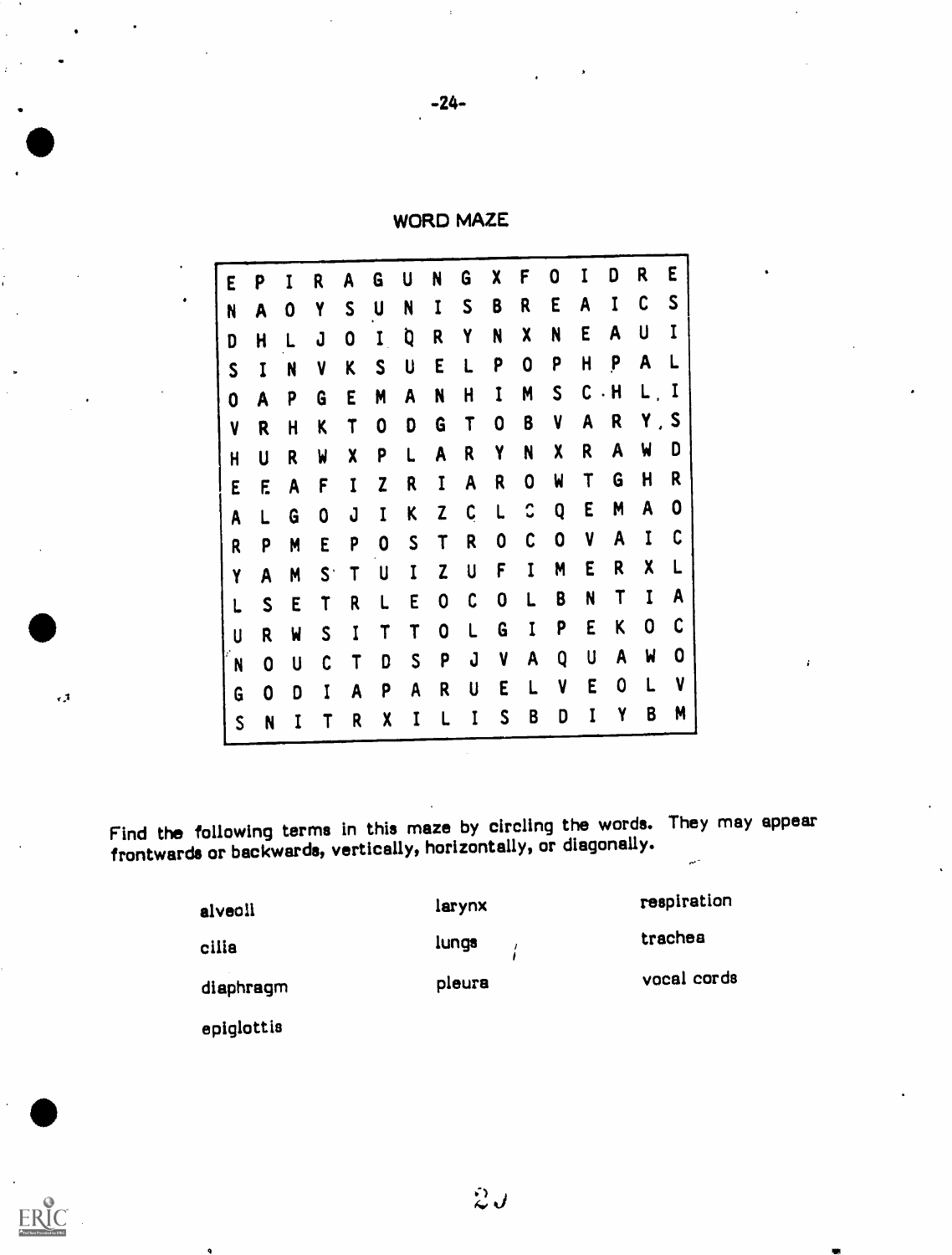$-24-$ 

WORD MAZE

| E           | P            | I            | R            | A                         | G                | U           | N            | G                         | χ            | F            | 0            |             | D           | R       | E    |
|-------------|--------------|--------------|--------------|---------------------------|------------------|-------------|--------------|---------------------------|--------------|--------------|--------------|-------------|-------------|---------|------|
| N           | A            | 0            | Y            | S                         | U                | N           | $\mathbf I$  | $\mathsf{S}$              | B            | R            | E            | A           | $\mathbf I$ | C       | S    |
| D           | H            |              | J            | 0                         | $\mathbf I$      | Q           | R            | Y                         | N            | X            | N            | E           | A           | U       | I    |
| S           | $\mathbf I$  | N            | $\mathbf{V}$ | K                         | S                | U           | E            |                           | P            | 0            | P            | $\mathsf H$ | P           | A       |      |
| 0           | A            | P            | G            | E                         | M                | A           | N            | H                         | $\mathbf{I}$ | M            | $\mathsf{S}$ | C           | $\cdot$ H   | $L$ , I |      |
| V           | R            | H            | K            | T                         | 0                | D           | G            | T                         | 0            | B            | V            | A           | R           |         | Y, S |
| $\mathbf H$ | U            | R            | W            | $\boldsymbol{\mathsf{X}}$ | P                |             | A            | R                         | Y            | N            | X            | R           | A           | W       | D    |
| E           | E            | A            | F            | Ī                         | Z                | R           | I            | A                         | R            | 0            | W            | $\mathsf T$ | G           | H       | R    |
| A           |              | G            | 0            | J                         | I                | K           | Z            | C                         | L            | $\mathbf{C}$ | Q            | E           | M           | A       | 0    |
| R           | P            | M            | E            | P                         | $\boldsymbol{0}$ | S           | T            | R                         | 0            | C            | 0            | V           | A           |         | C    |
| Y           | A            | M            | $S^+$        | $\mathsf T$               | U                | $\mathbf I$ | $\mathbf{Z}$ | U                         | F            | I            | M            | E           | R           | χ       |      |
|             | $\mathsf{S}$ | E            | T            | R                         | L                | E           | 0            | C                         | 0            |              | B            | N           | T           | I       | A    |
| U           | R            | $\mathbf{M}$ | S            | I                         |                  |             | 0            |                           | G            | I            | P            | E           | K           | 0       | C    |
| N           | $\mathbf 0$  | U            | C            | T                         | D                | S           | P            | J                         | $\mathbf{V}$ | A            | Q            | U           | A           | W       | 0    |
| G           | 0            | D            | I            | A                         | P                | A           | R            | $\boldsymbol{\mathsf{U}}$ | E            |              | V            | E           | 0           |         | V    |
| $\mathsf S$ | N            |              |              | R                         | χ                |             |              |                           | S            | B            | D            |             | Y           | B       | M    |

Find the following terms in this maze by circling the words. They may appear frontwards or backwards, vertically, horizontally, or diagonally.

| alveoli   | larynx                 | respiration |
|-----------|------------------------|-------------|
| cilia     | lungs<br>$\frac{1}{4}$ | trachea     |
| diaphragm | pleura                 | vocal cords |

epiglottis

 $.1$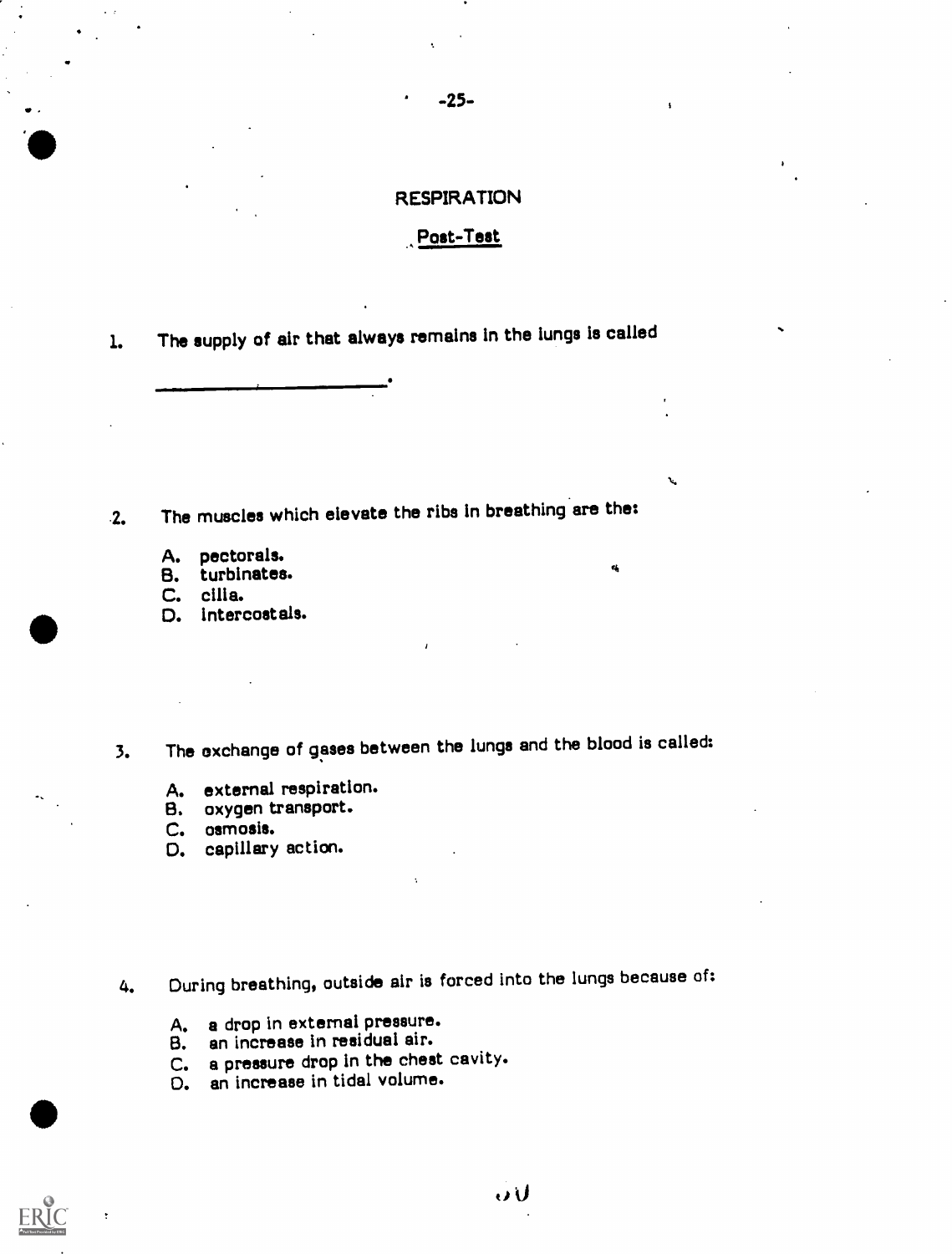### RESPIRATION

-25-

### Post-Test

 $\mathbf{v}_i$ 

 $\mathbf{r}_0$ 

1. The supply of air that always remains in the lungs is called

2. The muscles which elevate the ribs in breathing are the:

- A. pectorals.
- B. turbinates.
- C. cilia.
- D. Intercostals.
- 3. The oxchange of gases between the lungs and the blood is called:
	- A. external respiration.
	- B. oxygen transport.
	- C. osmosis.
	- O. capillary action.
- 4. During breathing, outside air is forced into the lungs because of:
	- A. a drop in external pressure.
	- B. an increase in residual air.
	- C. a pressure drop in the chest cavity.<br>D. an increase in tidal volume.
	- an increase in tidal volume.

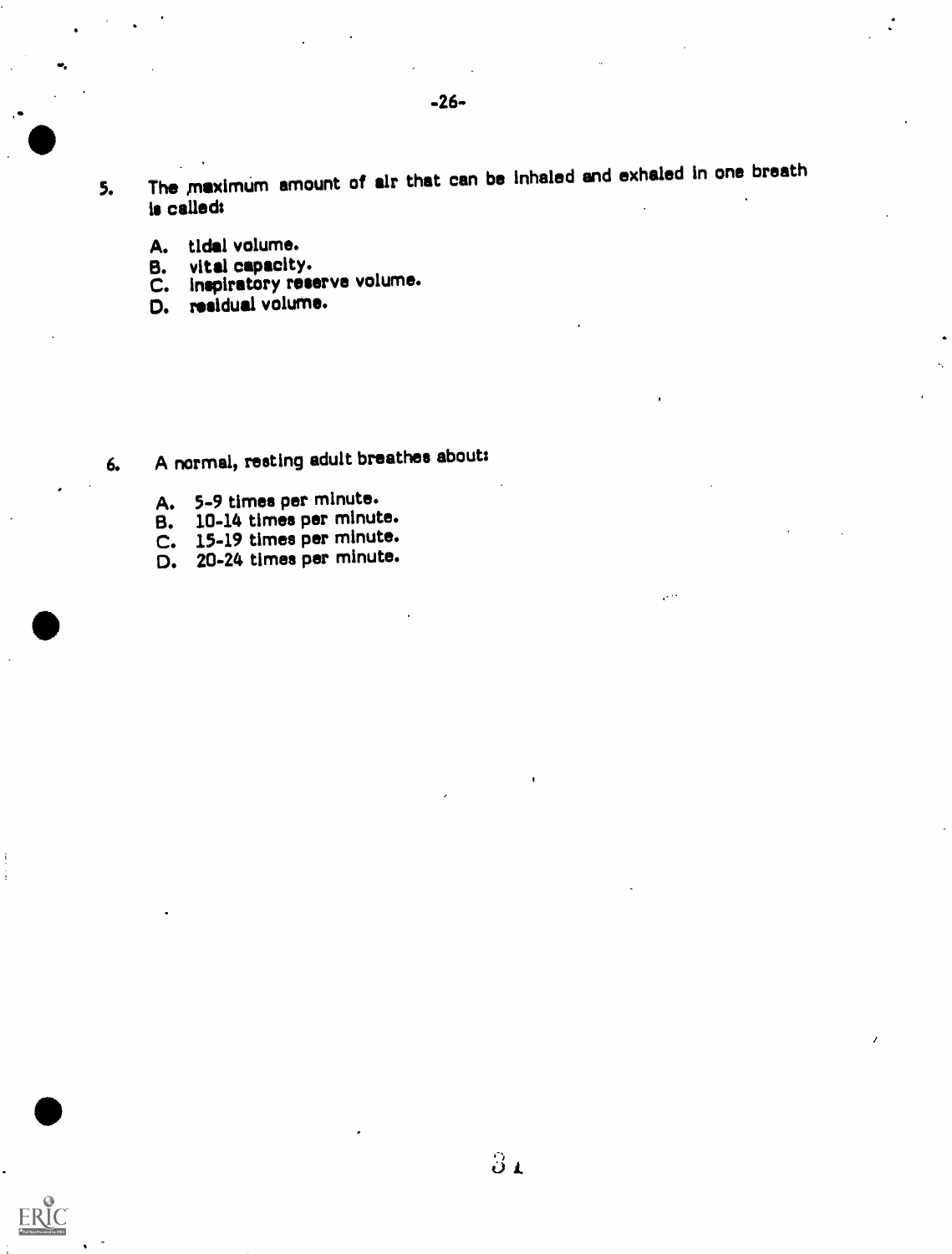- 5. The maximum amount of air that can be inhaled and exhaled in one breath is called:
	- A. tidal volume.<br>B. vital capacity
	- B. vital capacity.<br>C. inspiratory rest
	- C. inspiratory reserve volume.<br>D. residual volume.
	- residual volume.

- 6. A normal, resting adult breathes about:
	- A. 5-9 times per minute.
	- B. 10-14 times per minute.
	- $C.$  15-19 times per minute.
	- D. 20-24 times per minute.

ERIC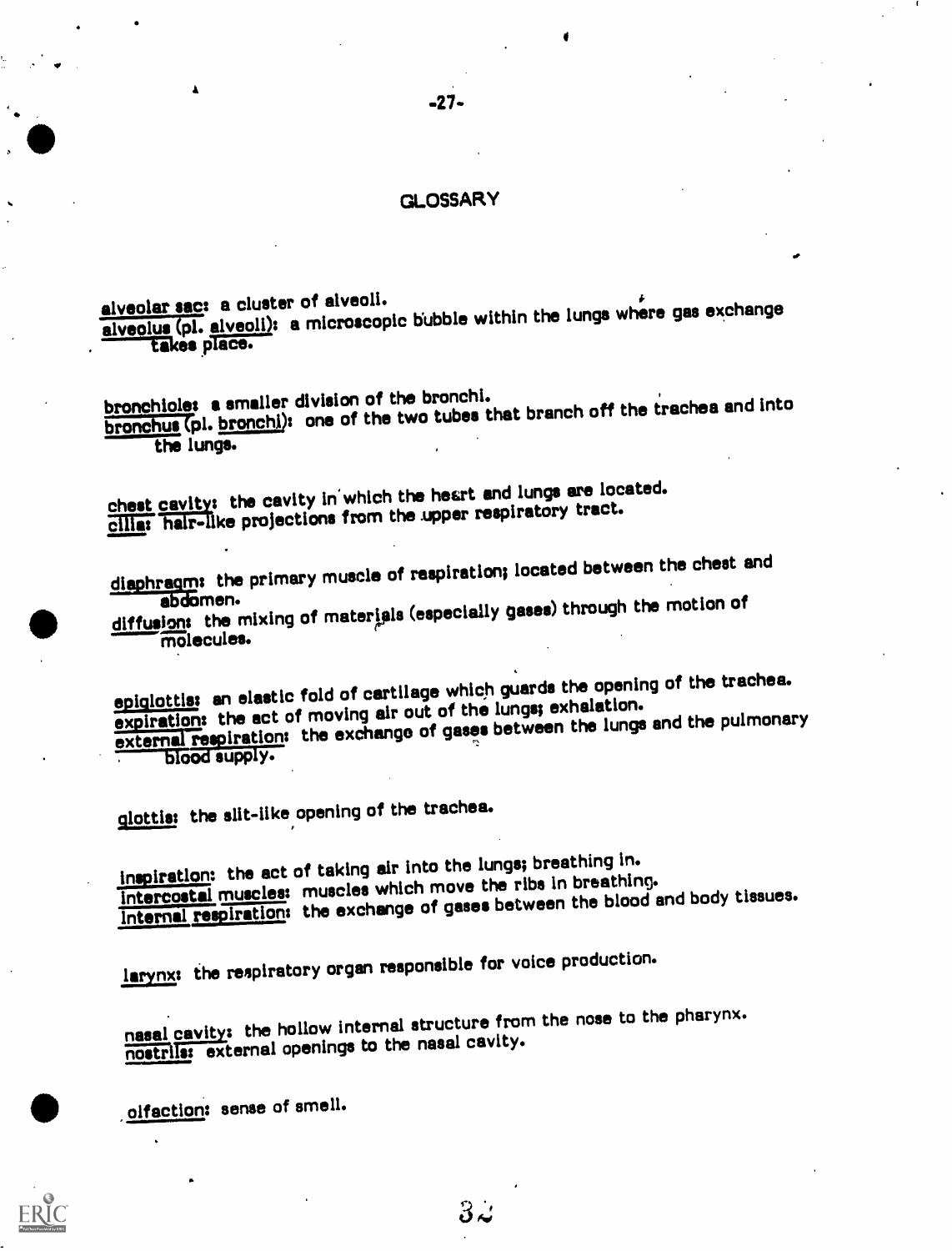### GLOSSARY

 $-27-$ 

alveolar sac: a cluster of alveoli. alveolar sac: a cluster of Erroscopic bubble within the lungs where gas exchange alveolus (pi. alveoli). a microscopie

bronchioles a smaller division of the bronchi.<br>br<u>onchus</u> (pl. <u>bronchi</u>): one of the two tubes that branch off the trachea and into the lungs.

chest cavity: the cavity in which the heart and lungs are located. cilias hair-like projections from the upper respiratory tract.

diaphragm: the primary muscle of respiration; located between the chest and abdomen.

abdomen.<br>diffusions the mixing of materials (especially gases) through the motion of

epiglottis: an elastic fold of cartilage which guards the opening of the trachea. expiration: the act of moving air out of the lungs; exhalation. external respiration: the exchange of gases between the lungs and the pulmonary prood subb<sub>1</sub>.

glottis: the slit-like opening of the trachea.

 $\hat{\mathbf{A}}$ 

inspiration: the act of taking air into the lungs; breathing in. Intercostal muscles: muscles which move the ribs in breathing. Internal respiration: the exchange of gases between the blood and body tissues.

larynx: the respiratory organ responsible for voice production.

nasal cavity: the hollow internal structure from the nose to the pharynx. nostrils: external openings to the nasal cavity.

olfaction: sense of smell.



 $3\omega$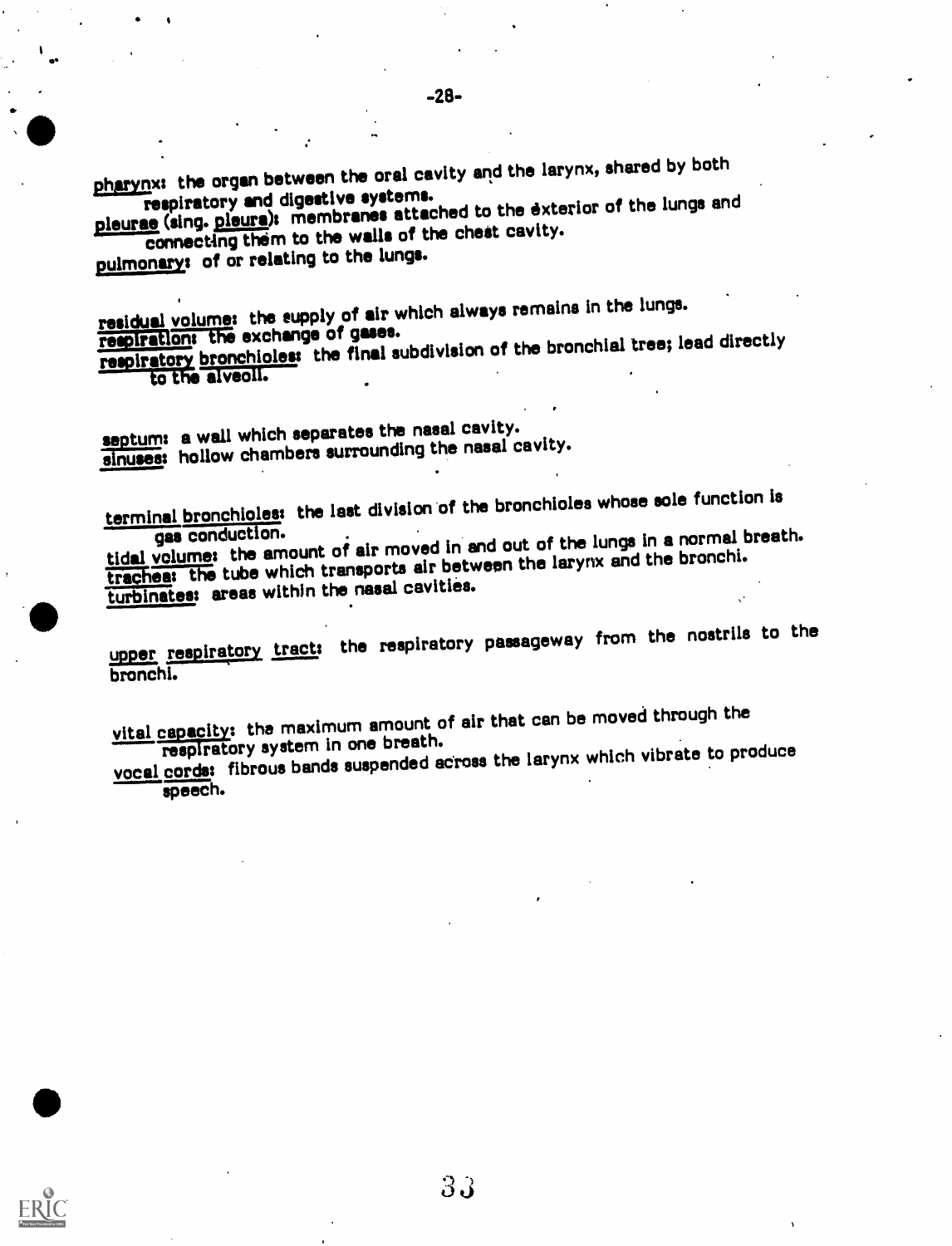pharynx: the organ between the oral cavity and the larynx, shared by both<br>respiratory and digestive systems.

respiratory and digestive systems.<br>pleurae (sing. pleura): membranes attached to the exterior of the lungs and<br>pleurae (sing. pleura): ne the wells of the chest cavity. connecting them to the walls of the chest cavity.

pulmonary: of or relating to the lungs.

residual volume: the supply of air which always remains in the lungs.<br>respiration: the exchange of gases.

respiration: the exchange of gases.<br>respiratory bronchioles: the final subdivision of the bronchial tree; lead directly

### to the alveoll.

septum: a wall which separates the nasal cavity. sinuses: hollow chambers surrounding the nasal cavity.

terminal bronchioles: the last division of the bronchioles whose sole function is<br>gas conduction.

gas-conduction.<br>tidal volume: the amount of air moved in and out of the lungs in a normal breath. traches: the tube which transports air between the larynx and the bronchi. turbinates: areas within the nasal cavities.

upper respiratory tract: the respiratory passageway from the nostrils to the bronchi.

vital capacity: the maximum amount of air that can be moved through the respiratory system in one breath.

vocal cords: fibrous bands suspended across the larynx which vibrate to produce

33

speech.

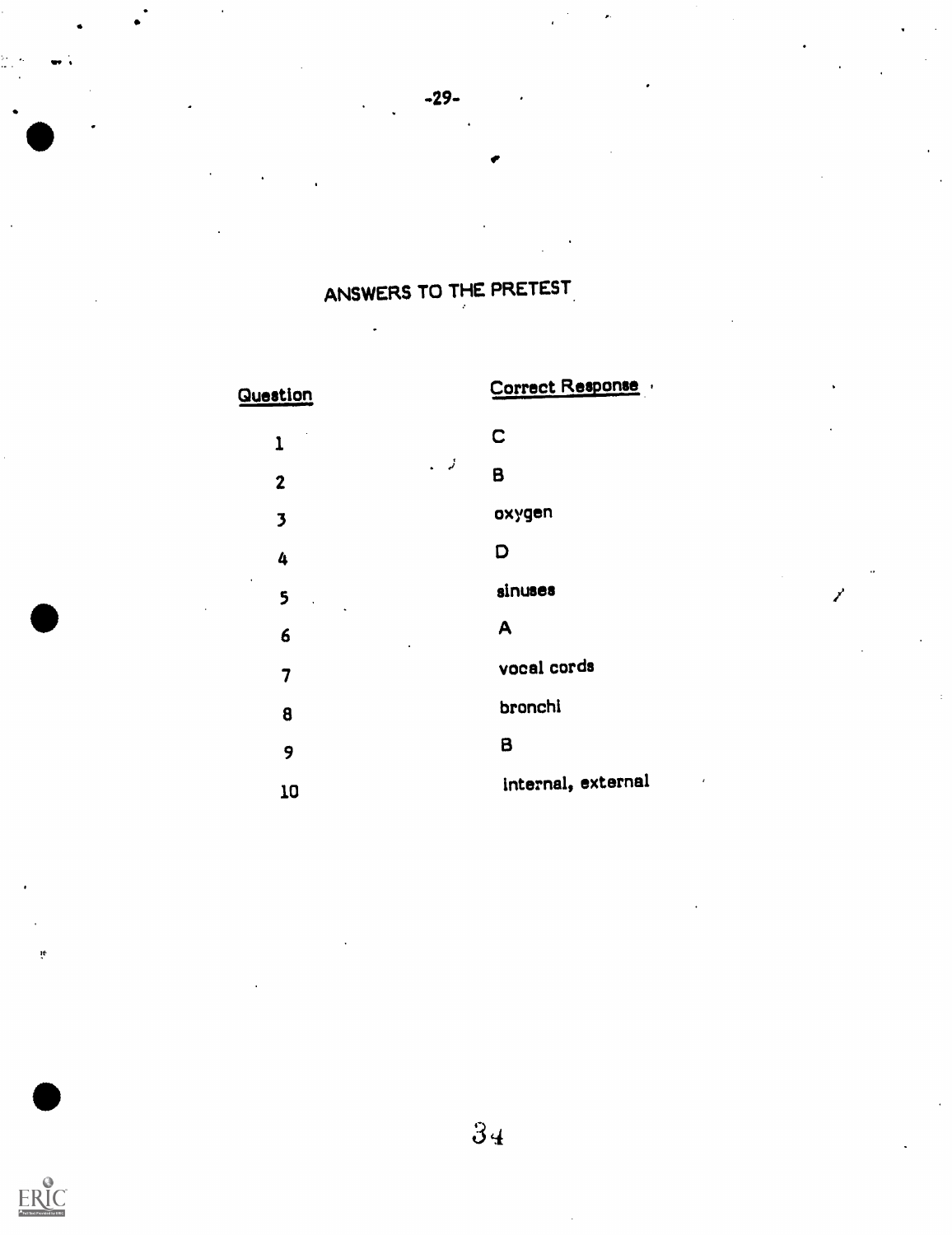# ANSWERS TO THE PRETEST.

-29-

# Question Correct Response

| 1                       |      | C                    |  |  |  |  |
|-------------------------|------|----------------------|--|--|--|--|
| $\boldsymbol{2}$        | نړ . | B                    |  |  |  |  |
| $\overline{\mathbf{3}}$ |      | oxygen               |  |  |  |  |
| 4                       |      | D                    |  |  |  |  |
| 5<br>$\sim$ $\sim$      |      | sinuses              |  |  |  |  |
| 6<br>$\bullet$          |      | A                    |  |  |  |  |
| 7                       |      | vocal cords          |  |  |  |  |
| 8                       |      | bronchi              |  |  |  |  |
| 9                       |      | $\boldsymbol{\beta}$ |  |  |  |  |
| 10                      |      | internal, external   |  |  |  |  |

i4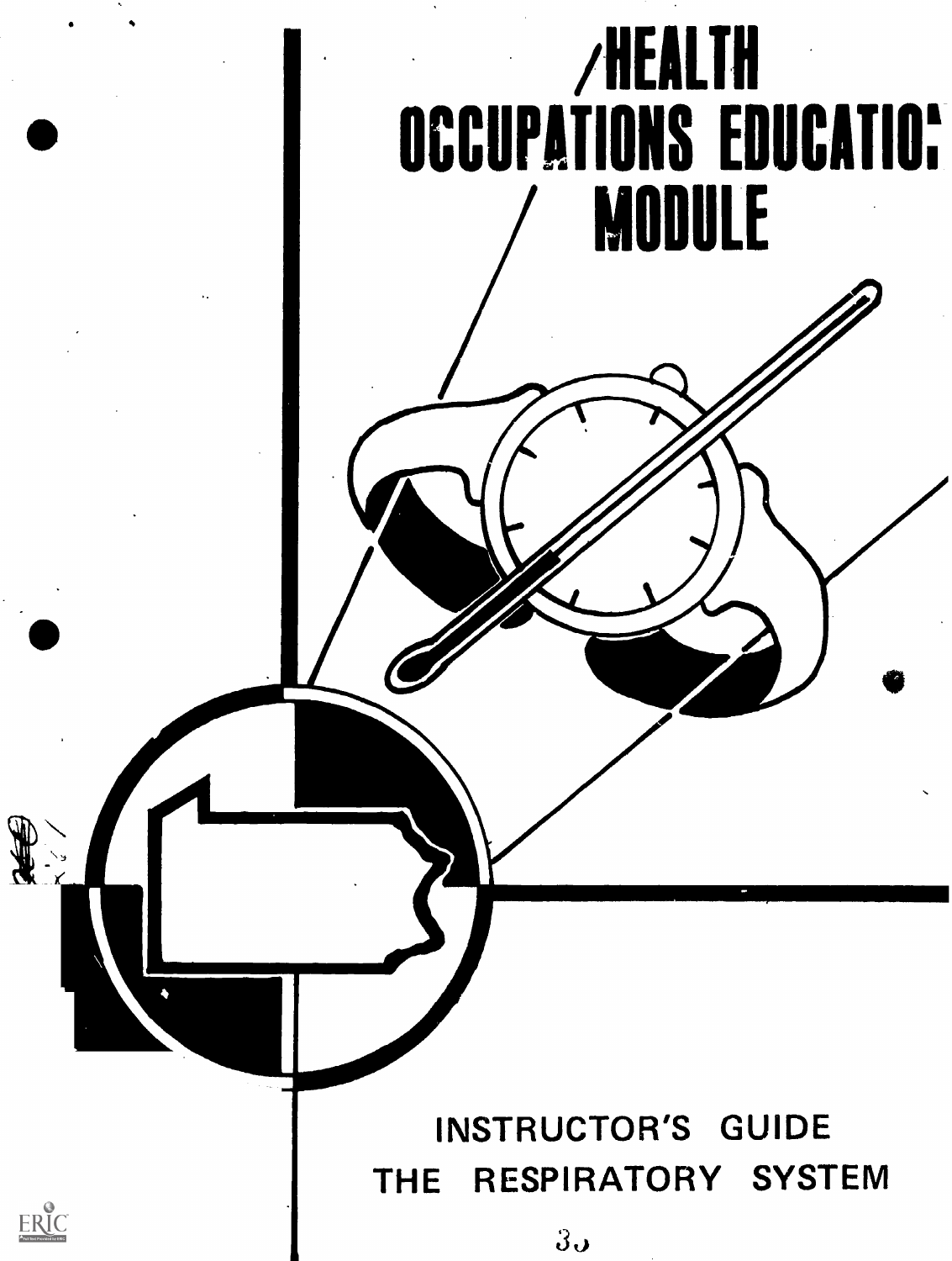

 $3\sigma$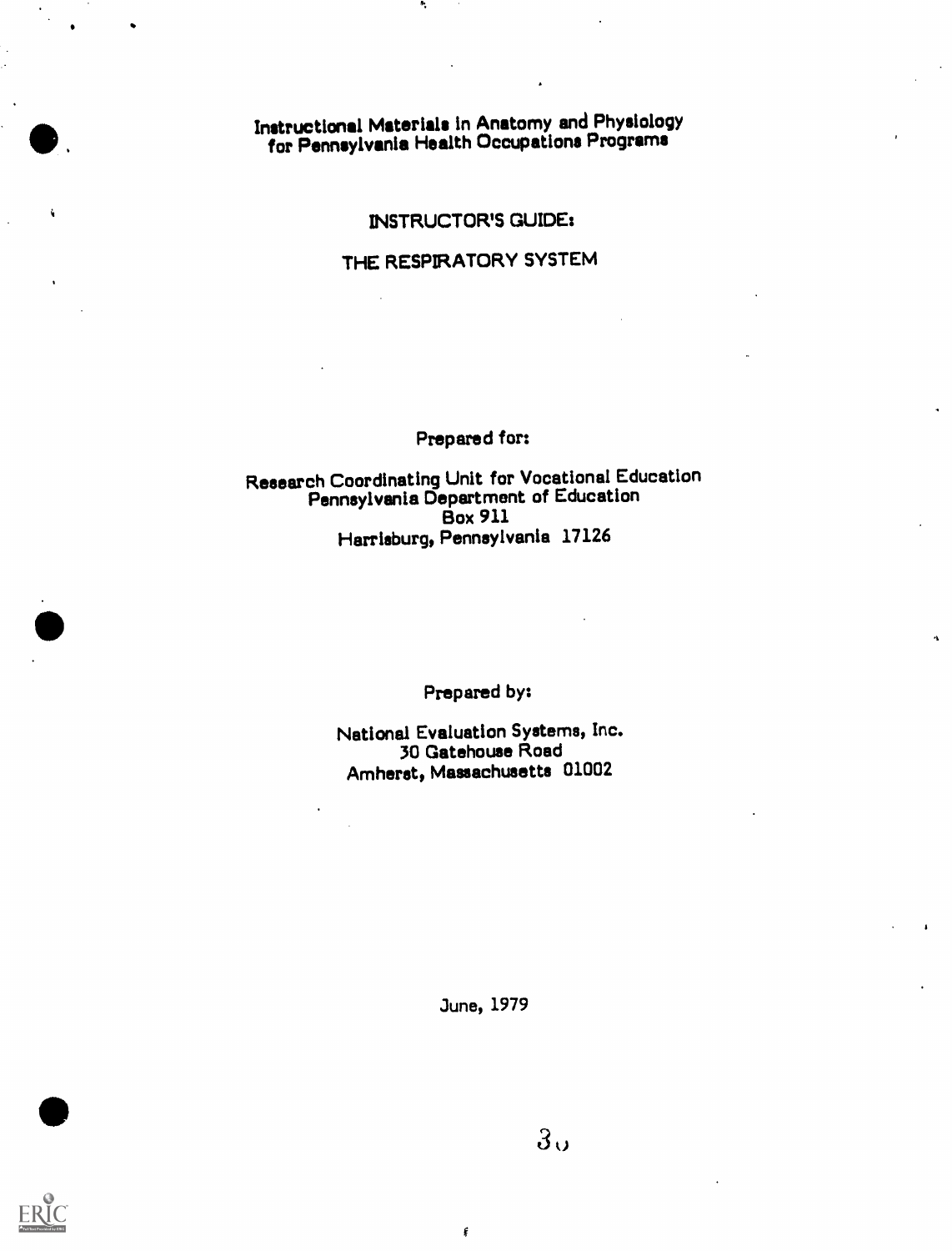Instructional Materials in Anatomy and Physiology for Pennsylvania Health Occupations Programs

### INSTRUCTOR'S GUIDE:

### THE RESPIRATORY SYSTEM

### Prepared for:

### Research Coordinating Unit for Vocational Education Pennsylvania Department of Education<br>Box 911 Box 911 Harrisburg, Pennsylvania 17126

Prepared by:

National Evaluation Systems, Inc. 30 Gatehouse Road Amherst, Massachusetts 01002

June, 1979

¢





 $\bullet$ 

i

or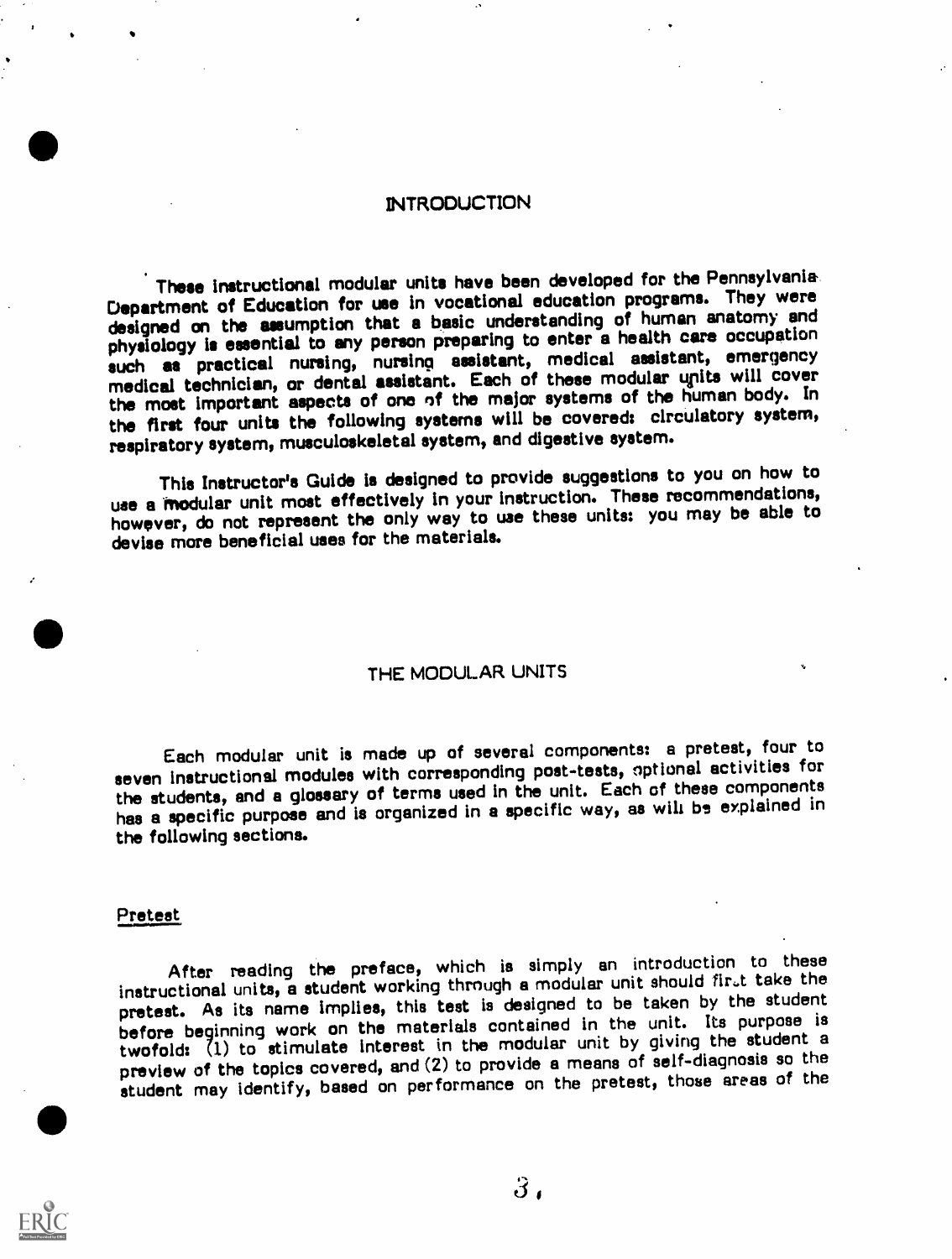### INTRODUCTION

These instructional modular units have been developed for the Pennsylvania Department of Education for use in vocational education programs. They were designed on the assumption that a basic understanding of human anatomy and physiology is essential to any parson preparing to enter a health care occupation such as practical nursing, nursing assistant, medical assistant, emergency medical technician, or dental assistant. Each of these modular units will cover the most important aspects of one of the major systems of the human body. In the first four units the following systems will be covered: circulatory system, respiratory system, musculoskeletal system, and digestive system.

This Instructor's Guide is designed to provide suggestions to you on how to use a Modular unit most effectively In your instruction. These recommendations, however, do not represent the only way to use these units: you may be able to devise more beneficial uses for the materials.

### THE MODULAR UNITS

Each modular unit is made up of several components: a pretest, four to seven instructional modules with corresponding post-tests, optional activities for the students, and a glossary of terms used In the unit. Each of these components has a specific purpose and is organized in a specific way, as will be explained in the following sections.

#### Pretest

After reading the preface, which is simply an introduction to these instructional units, a student working through a modular unit should fir.t take the pretest. As its name implies, this test is designed to be taken by the student before beginning work on the materials contained in the unit. Its purpose is twofold: (1) to stimulate Interest in the modular unit by giving the student a preview of the topics covered, and (2) to provide a means of self-diagnosis so the student may identify, based on performance on the pretest, those areas of the

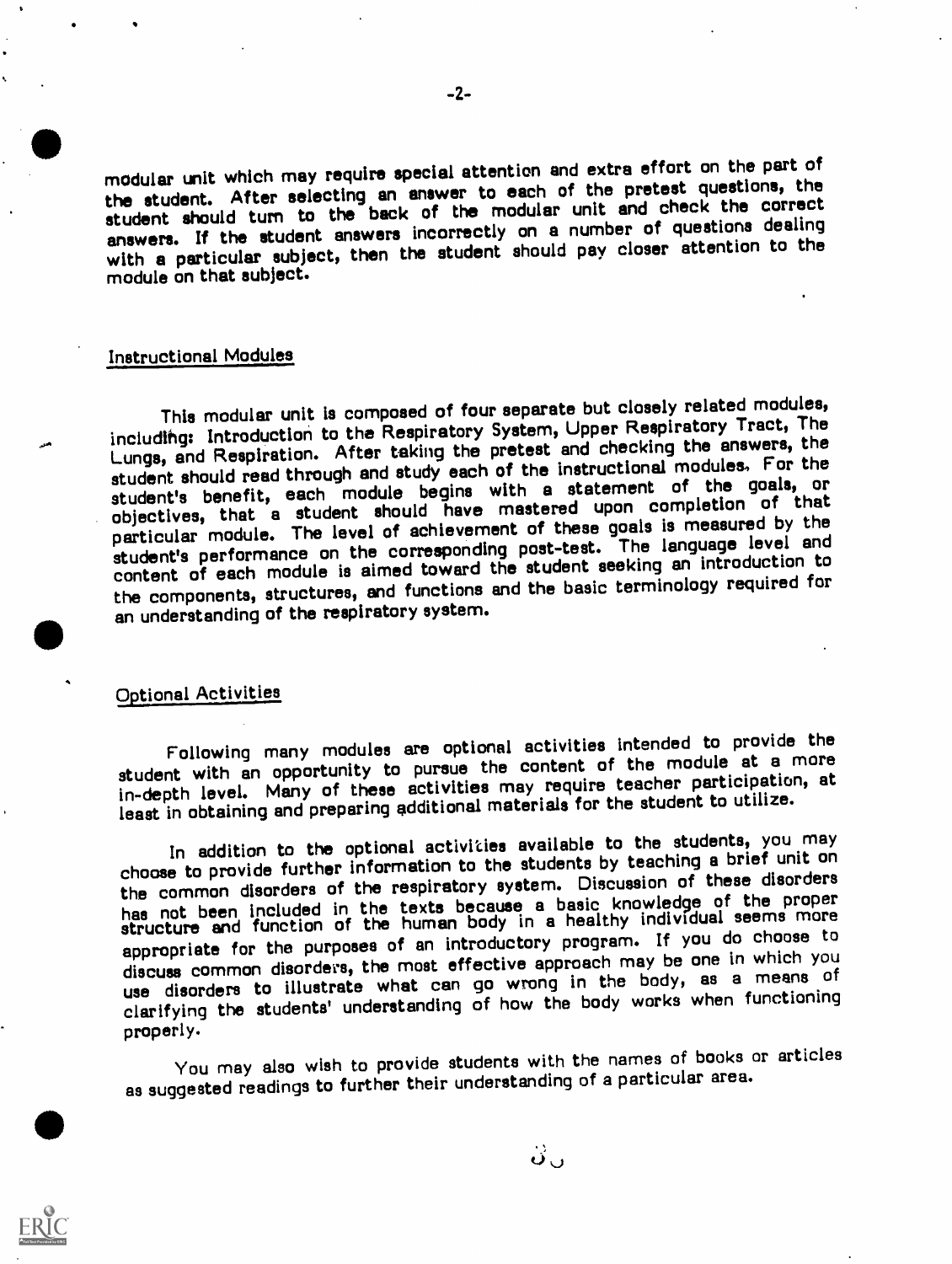modular unit which may require special attention and extra effort on the part of the student. After selecting an answer to each of the pretest questions, the student should turn to the back of the modular unit and check the correct answers. If the student answers incorrectly on a number of questions dealing with a particular subject, then the student should pay closer attention to the module on that subject.

#### Instructional Modules

This modular unit is composed of four separate but closely related modules, includlhg: Introduction to the Respiratory System, Upper Respiratory Tract, The Lungs, and Respiration. After taking the pretest and checking the answers, the student should read through and study each of the instructional modules, For the student's benefit, each module begins with a statement of the goals, or objectives, that a student should have mastered upon completion of that particular module. The level of achievement of these goals is measured by the student's performance on the corresponding post-test. The language level and content of each module is aimed toward the student seeking an introduction to the components, structures, end functions and the basic terminology required for an understanding of the respiratory system.

### Optional Activities

Following many modules are optional activities intended to provide the student with an opportunity to pursue the content of the module at a more in-depth level. Many of these activities may require teacher participation, at least in obtaining and preparing additional materials for the student to utilize.

In addition to the optional activities available to the students, you may choose to provide further information to the students by teaching a brief unit on the common disorders of the respiratory system. Discussion of these disorders the common disdruers of the respirator, by common<br>has not been included in the texts because a basic knowledge of the proper has not been included in the texts because a same individual seems more<br>structure and function of the human body in a healthy individual seems more appropriate for the purposes of an introductory program. If you do choose to discuss common disorders, the most effective approach may be one in which you use disorders to illustrate what can go wrong in the body, as a means of clarifying the students' understanding of how the body works when functioning proper! y.

You may also wish to provide students with the names of books or articles as suggested readings to further their understanding of a particular area.

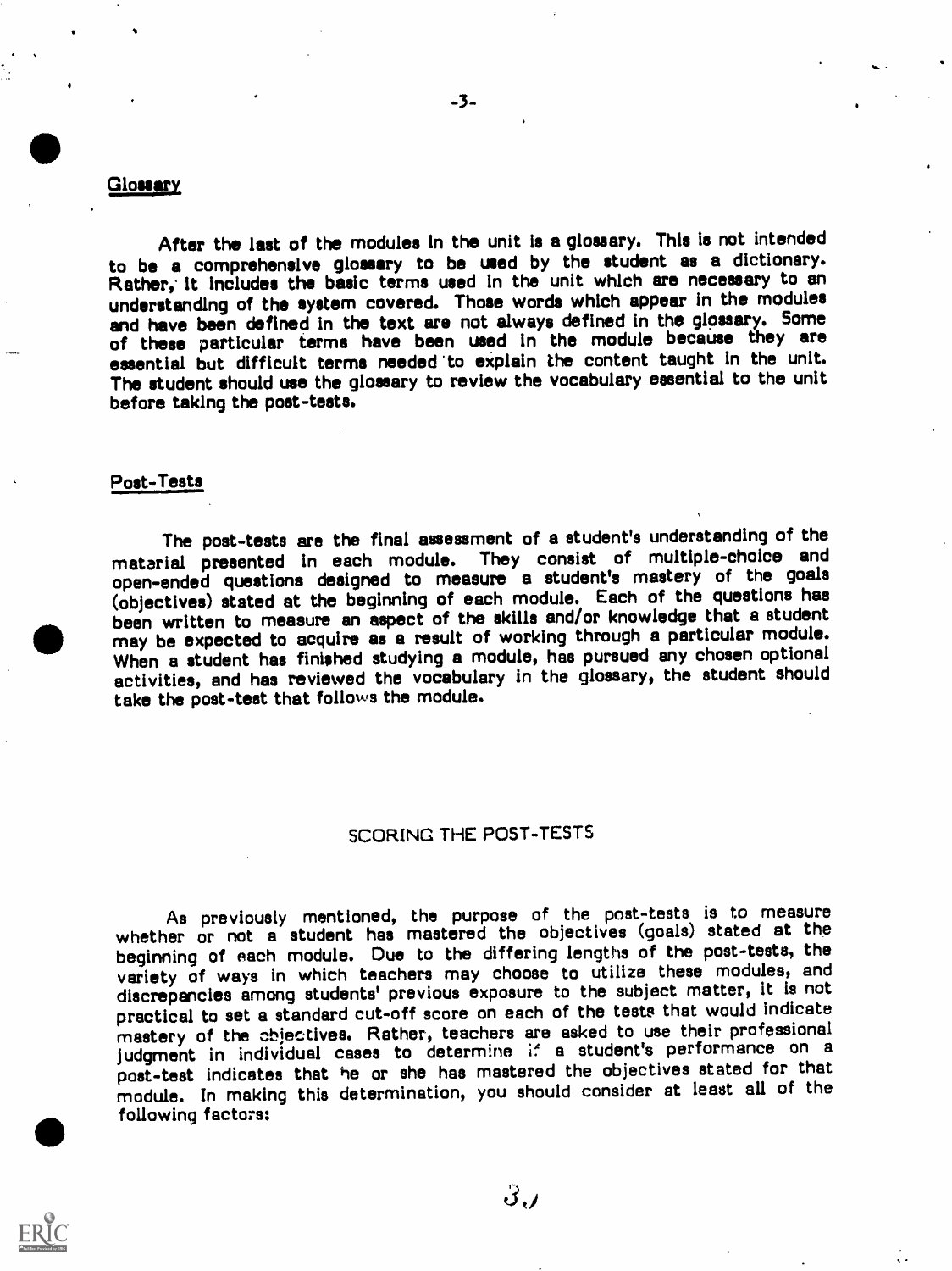#### Glossary

After the last of the modules In the unit is a glossary. This is not intended to be a comprehensive glossary to be used by the student as a dictionary. Rather, it includes the basic terms used in the unit which are necessary to an understanding of the system covered. Those words which appear in the modules and have been defined in the text are not always defined in the glossary. Some of these particular terms have been used In the module because they are essential but difficult terms needed to explain the content taught in the unit. The student should use the glossary to review the vocabulary essential to the unit before taking the post-tests.

### Post-Tests

The post-tests are the final assessment of a student's understanding of the material presented In each module. They consist of multiple-choice and open-ended questions designed to measure a student's mastery of the goals (objectives) stated at the beginning of each module. Each of the questions has been written to measure an aspect of the skills and/or knowledge that a student may be expected to acquire as a result of working through a particular module. When a student has finished studying a module, has pursued any chosen optional activities, and has reviewed the vocabulary in the glossary, the student should take the post-test that follows the module.

### SCORING THE POST-TESTS

As previously mentioned, the purpose of the post-tests is to measure whether or not a student has mastered the objectives (goals) stated at the beginning of each module. Due to the differing lengths of the post-tests, the variety of ways in which teachers may choose to utilize these modules, and discrepancies among students' previous exposure to the subject matter, it is not practical to set a standard cut-off score on each of the tests that would indicate mastery of the objectives. Rather, teachers are asked to use their professional judgment in individual cases to determine if a student's performance on a post-test indicates that he or she has mastered the objectives stated for that module. In making this determination, you should consider at least all of the following factors:



 $3,$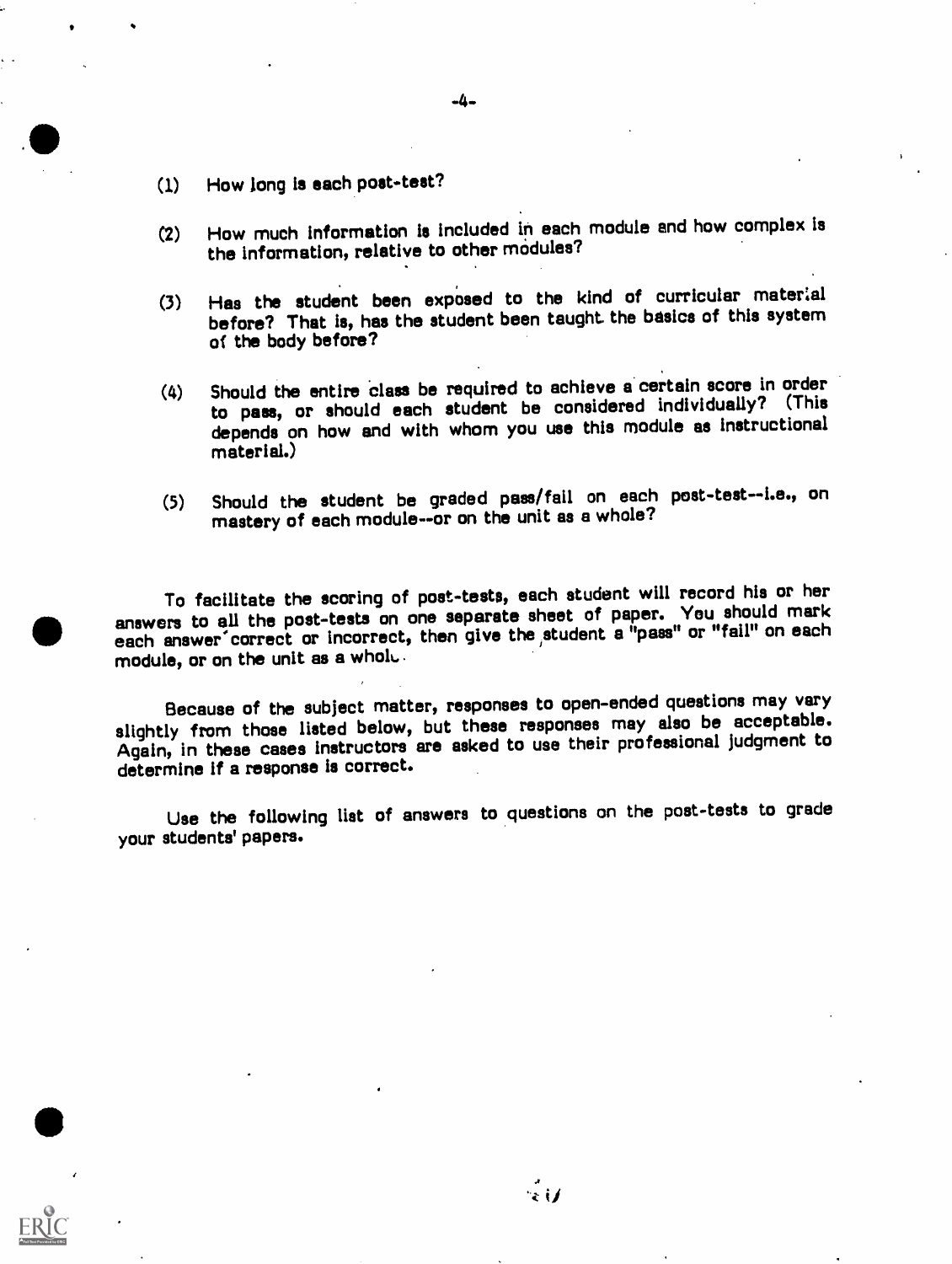- (1) How long is each post-test?
- (2) How much information is included in each module end how complex Is the information, relative to other modules?
- (3) Has the student been exposed to the kind of curricular material before? That is, has the student been taught the basics of this system of the body before?
- (4) Should the entire class be required to achieve a certain score in order to pass, or should each student be considered individually? (This depends on how and with whom you use this module as instructional material.)
- (5) Should the student be graded pass/fail on each post-test--i.e., on mastery of each module--or on the unit as a whole?

To facilitate the scoring of post-tests, each student will record his or her answers to all the post-tests on one separate sheet of paper. You should mark each answer correct or incorrect, then give the student a "pass" or "fail" on each module, or on the unit as a whoh..

Because of the subject matter, responses to open-ended questions may vary slightly from those listed below, but these responses may also be acceptable. Again, in these cases Instructors are asked to use their professional judgment to determine If a response is correct.

Use the following list of answers to questions on the post-tests to grade your students' papers.

-4-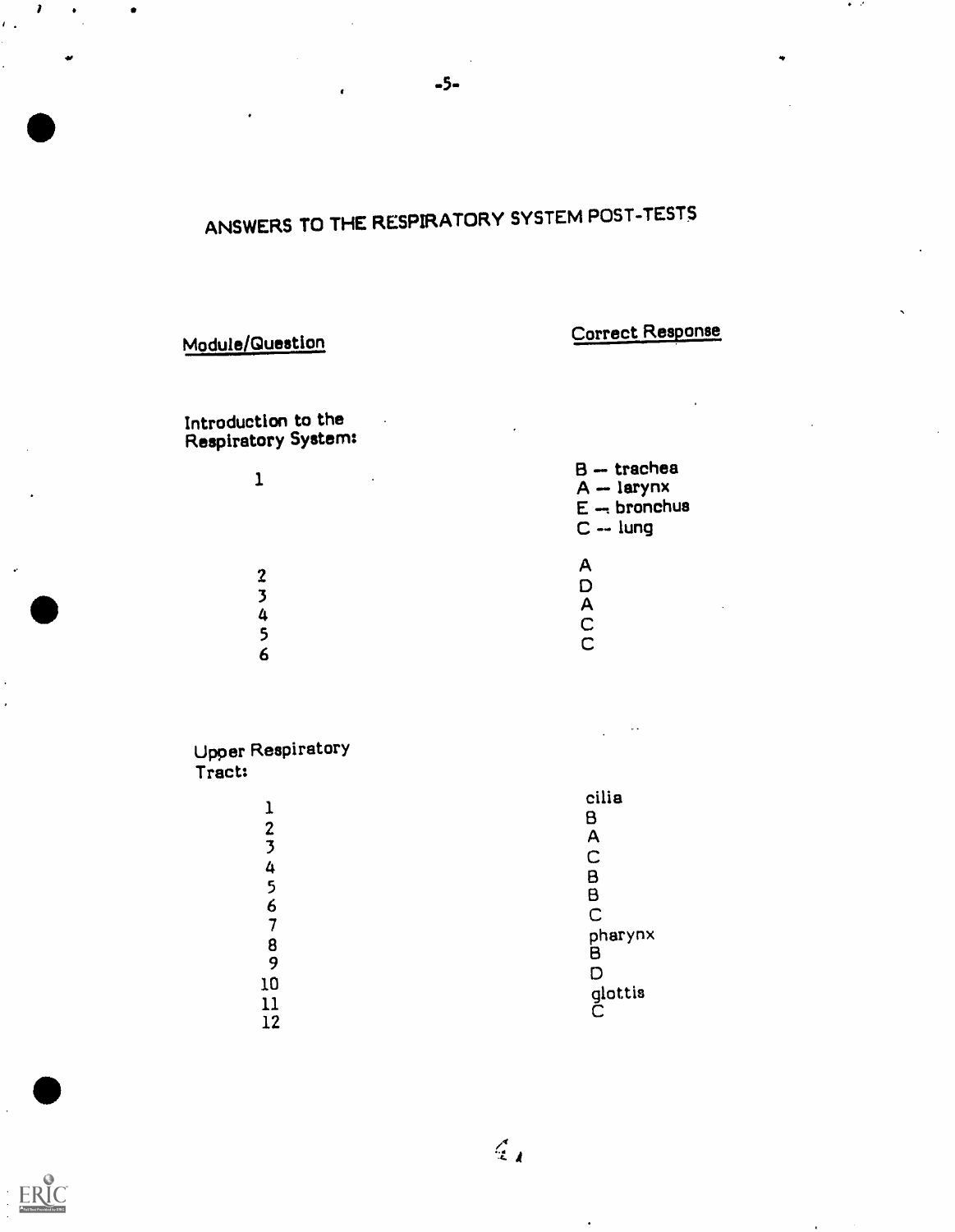# ANSWERS TO THE RESPIRATORY SYSTEM POST-TESTS

-5-

# Module/Question Correct Response

 $\bullet$  .  $\bullet$ 

Introduction to the Respiratory System:

| $\bullet$ | $B -$ trachea<br>$A - larynx$<br>$E -$ bronchus<br>$C -$ lung |
|-----------|---------------------------------------------------------------|
| ?<br>о    | Α<br>Α<br>С                                                   |

Upper Respiratory Tract:

ERIC

|                         | cilia        |
|-------------------------|--------------|
|                         | B            |
| $\mathbf{z}$            | A            |
| $\overline{\mathbf{3}}$ | C            |
| 4                       | Β            |
| 5                       | B            |
| 6                       | C            |
|                         | pharynx      |
| 8                       | В            |
| 9                       | D            |
| 10                      |              |
|                         | glottis<br>C |
| 12                      |              |